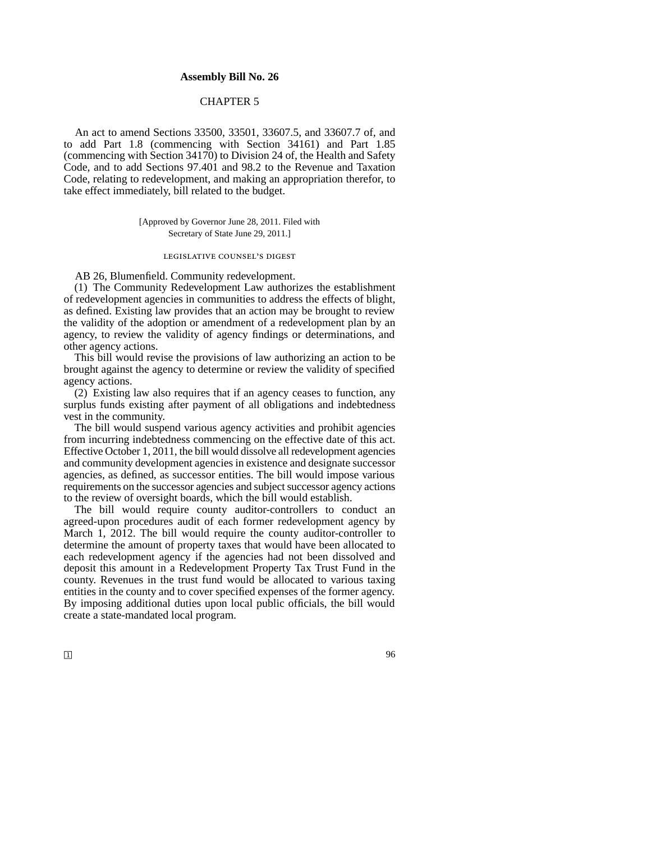# **Assembly Bill No. 26**

# CHAPTER 5

An act to amend Sections 33500, 33501, 33607.5, and 33607.7 of, and to add Part 1.8 (commencing with Section 34161) and Part 1.85 (commencing with Section 34170) to Division 24 of, the Health and Safety Code, and to add Sections 97.401 and 98.2 to the Revenue and Taxation Code, relating to redevelopment, and making an appropriation therefor, to take effect immediately, bill related to the budget.

> [Approved by Governor June 28, 2011. Filed with Secretary of State June 29, 2011.]

### legislative counsel's digest

AB 26, Blumenfield. Community redevelopment.

(1) The Community Redevelopment Law authorizes the establishment of redevelopment agencies in communities to address the effects of blight, as defined. Existing law provides that an action may be brought to review the validity of the adoption or amendment of a redevelopment plan by an agency, to review the validity of agency findings or determinations, and other agency actions.

This bill would revise the provisions of law authorizing an action to be brought against the agency to determine or review the validity of specified agency actions.

(2) Existing law also requires that if an agency ceases to function, any surplus funds existing after payment of all obligations and indebtedness vest in the community.

The bill would suspend various agency activities and prohibit agencies from incurring indebtedness commencing on the effective date of this act. Effective October 1, 2011, the bill would dissolve all redevelopment agencies and community development agencies in existence and designate successor agencies, as defined, as successor entities. The bill would impose various requirements on the successor agencies and subject successor agency actions to the review of oversight boards, which the bill would establish.

The bill would require county auditor-controllers to conduct an agreed-upon procedures audit of each former redevelopment agency by March 1, 2012. The bill would require the county auditor-controller to determine the amount of property taxes that would have been allocated to each redevelopment agency if the agencies had not been dissolved and deposit this amount in a Redevelopment Property Tax Trust Fund in the county. Revenues in the trust fund would be allocated to various taxing entities in the county and to cover specified expenses of the former agency. By imposing additional duties upon local public officials, the bill would create a state-mandated local program.

 $\Box$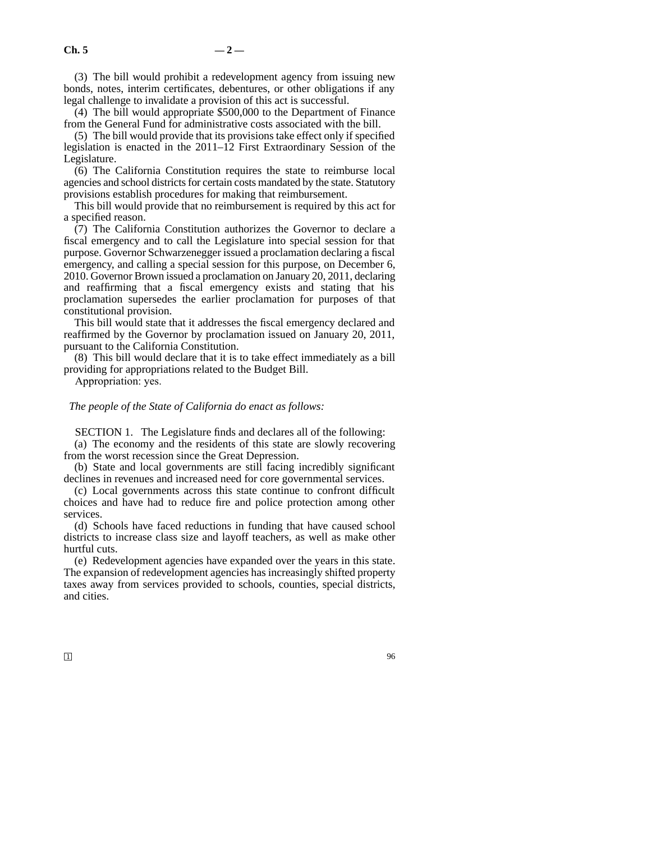(3) The bill would prohibit a redevelopment agency from issuing new bonds, notes, interim certificates, debentures, or other obligations if any legal challenge to invalidate a provision of this act is successful.

(4) The bill would appropriate \$500,000 to the Department of Finance from the General Fund for administrative costs associated with the bill.

(5) The bill would provide that its provisions take effect only if specified legislation is enacted in the 2011–12 First Extraordinary Session of the Legislature.

(6) The California Constitution requires the state to reimburse local agencies and school districts for certain costs mandated by the state. Statutory provisions establish procedures for making that reimbursement.

This bill would provide that no reimbursement is required by this act for a specified reason.

(7) The California Constitution authorizes the Governor to declare a fiscal emergency and to call the Legislature into special session for that purpose. Governor Schwarzenegger issued a proclamation declaring a fiscal emergency, and calling a special session for this purpose, on December 6, 2010. Governor Brown issued a proclamation on January 20, 2011, declaring and reaffirming that a fiscal emergency exists and stating that his proclamation supersedes the earlier proclamation for purposes of that constitutional provision.

This bill would state that it addresses the fiscal emergency declared and reaffirmed by the Governor by proclamation issued on January 20, 2011, pursuant to the California Constitution.

(8) This bill would declare that it is to take effect immediately as a bill providing for appropriations related to the Budget Bill.

Appropriation: yes.

*The people of the State of California do enact as follows:*

SECTION 1. The Legislature finds and declares all of the following:

(a) The economy and the residents of this state are slowly recovering from the worst recession since the Great Depression.

(b) State and local governments are still facing incredibly significant declines in revenues and increased need for core governmental services.

(c) Local governments across this state continue to confront difficult choices and have had to reduce fire and police protection among other services.

(d) Schools have faced reductions in funding that have caused school districts to increase class size and layoff teachers, as well as make other hurtful cuts.

(e) Redevelopment agencies have expanded over the years in this state. The expansion of redevelopment agencies has increasingly shifted property taxes away from services provided to schools, counties, special districts, and cities.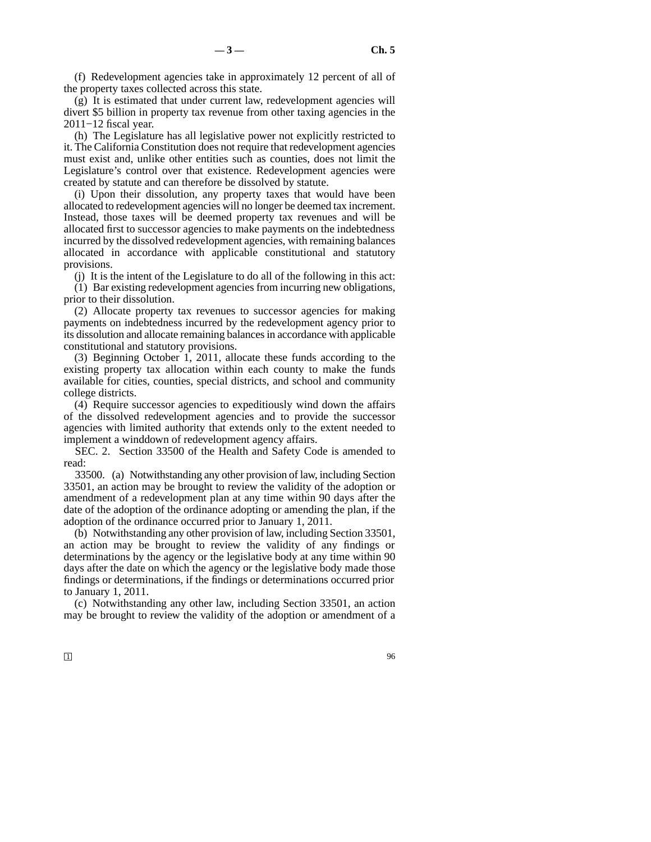(f) Redevelopment agencies take in approximately 12 percent of all of the property taxes collected across this state.

(g) It is estimated that under current law, redevelopment agencies will divert \$5 billion in property tax revenue from other taxing agencies in the 2011−12 fiscal year.

(h) The Legislature has all legislative power not explicitly restricted to it. The California Constitution does not require that redevelopment agencies must exist and, unlike other entities such as counties, does not limit the Legislature's control over that existence. Redevelopment agencies were created by statute and can therefore be dissolved by statute.

(i) Upon their dissolution, any property taxes that would have been allocated to redevelopment agencies will no longer be deemed tax increment. Instead, those taxes will be deemed property tax revenues and will be allocated first to successor agencies to make payments on the indebtedness incurred by the dissolved redevelopment agencies, with remaining balances allocated in accordance with applicable constitutional and statutory provisions.

(j) It is the intent of the Legislature to do all of the following in this act: (1) Bar existing redevelopment agencies from incurring new obligations, prior to their dissolution.

(2) Allocate property tax revenues to successor agencies for making payments on indebtedness incurred by the redevelopment agency prior to its dissolution and allocate remaining balances in accordance with applicable constitutional and statutory provisions.

(3) Beginning October 1, 2011, allocate these funds according to the existing property tax allocation within each county to make the funds available for cities, counties, special districts, and school and community college districts.

(4) Require successor agencies to expeditiously wind down the affairs of the dissolved redevelopment agencies and to provide the successor agencies with limited authority that extends only to the extent needed to implement a winddown of redevelopment agency affairs.

SEC. 2. Section 33500 of the Health and Safety Code is amended to read:

33500. (a) Notwithstanding any other provision of law, including Section 33501, an action may be brought to review the validity of the adoption or amendment of a redevelopment plan at any time within 90 days after the date of the adoption of the ordinance adopting or amending the plan, if the adoption of the ordinance occurred prior to January 1, 2011.

(b) Notwithstanding any other provision of law, including Section 33501, an action may be brought to review the validity of any findings or determinations by the agency or the legislative body at any time within 90 days after the date on which the agency or the legislative body made those findings or determinations, if the findings or determinations occurred prior to January 1, 2011.

(c) Notwithstanding any other law, including Section 33501, an action may be brought to review the validity of the adoption or amendment of a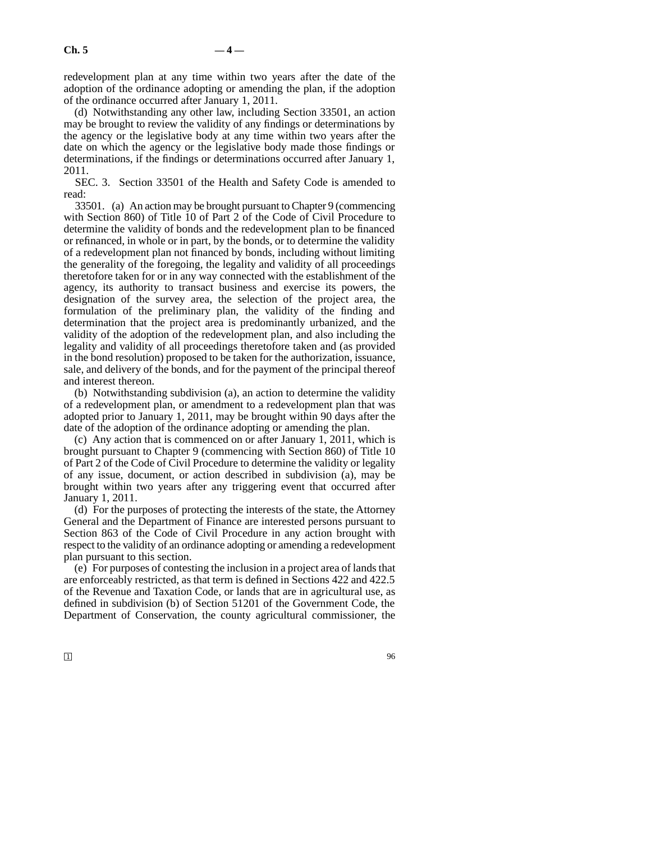redevelopment plan at any time within two years after the date of the adoption of the ordinance adopting or amending the plan, if the adoption of the ordinance occurred after January 1, 2011.

(d) Notwithstanding any other law, including Section 33501, an action may be brought to review the validity of any findings or determinations by the agency or the legislative body at any time within two years after the date on which the agency or the legislative body made those findings or determinations, if the findings or determinations occurred after January 1, 2011.

SEC. 3. Section 33501 of the Health and Safety Code is amended to read:

33501. (a) An action may be brought pursuant to Chapter 9 (commencing with Section 860) of Title 10 of Part 2 of the Code of Civil Procedure to determine the validity of bonds and the redevelopment plan to be financed or refinanced, in whole or in part, by the bonds, or to determine the validity of a redevelopment plan not financed by bonds, including without limiting the generality of the foregoing, the legality and validity of all proceedings theretofore taken for or in any way connected with the establishment of the agency, its authority to transact business and exercise its powers, the designation of the survey area, the selection of the project area, the formulation of the preliminary plan, the validity of the finding and determination that the project area is predominantly urbanized, and the validity of the adoption of the redevelopment plan, and also including the legality and validity of all proceedings theretofore taken and (as provided in the bond resolution) proposed to be taken for the authorization, issuance, sale, and delivery of the bonds, and for the payment of the principal thereof and interest thereon.

(b) Notwithstanding subdivision (a), an action to determine the validity of a redevelopment plan, or amendment to a redevelopment plan that was adopted prior to January 1, 2011, may be brought within 90 days after the date of the adoption of the ordinance adopting or amending the plan.

(c) Any action that is commenced on or after January 1, 2011, which is brought pursuant to Chapter 9 (commencing with Section 860) of Title 10 of Part 2 of the Code of Civil Procedure to determine the validity or legality of any issue, document, or action described in subdivision (a), may be brought within two years after any triggering event that occurred after January 1, 2011.

(d) For the purposes of protecting the interests of the state, the Attorney General and the Department of Finance are interested persons pursuant to Section 863 of the Code of Civil Procedure in any action brought with respect to the validity of an ordinance adopting or amending a redevelopment plan pursuant to this section.

(e) For purposes of contesting the inclusion in a project area of lands that are enforceably restricted, as that term is defined in Sections 422 and 422.5 of the Revenue and Taxation Code, or lands that are in agricultural use, as defined in subdivision (b) of Section 51201 of the Government Code, the Department of Conservation, the county agricultural commissioner, the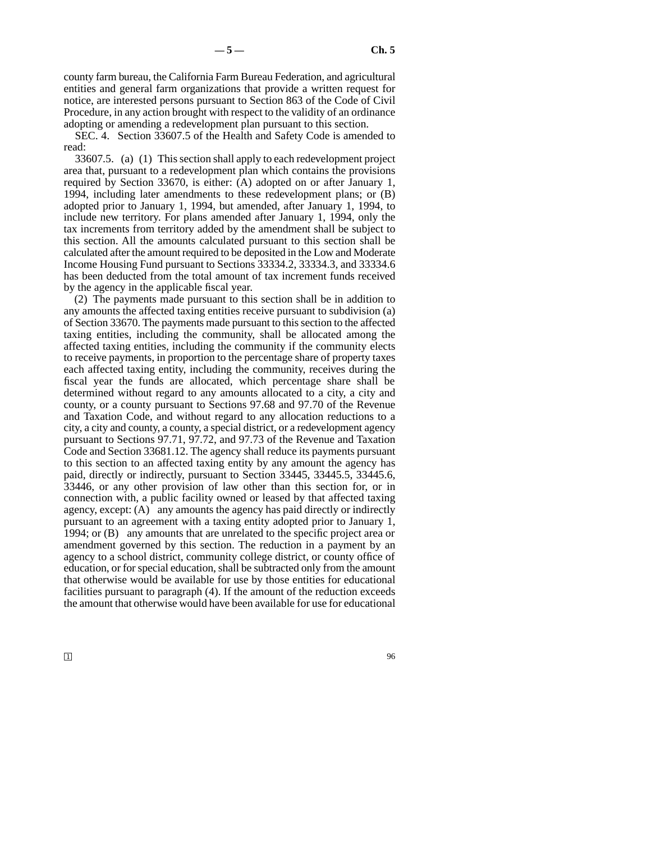county farm bureau, the California Farm Bureau Federation, and agricultural entities and general farm organizations that provide a written request for notice, are interested persons pursuant to Section 863 of the Code of Civil Procedure, in any action brought with respect to the validity of an ordinance adopting or amending a redevelopment plan pursuant to this section.

SEC. 4. Section 33607.5 of the Health and Safety Code is amended to read:

33607.5. (a) (1) This section shall apply to each redevelopment project area that, pursuant to a redevelopment plan which contains the provisions required by Section 33670, is either: (A) adopted on or after January 1, 1994, including later amendments to these redevelopment plans; or (B) adopted prior to January 1, 1994, but amended, after January 1, 1994, to include new territory. For plans amended after January 1, 1994, only the tax increments from territory added by the amendment shall be subject to this section. All the amounts calculated pursuant to this section shall be calculated after the amount required to be deposited in the Low and Moderate Income Housing Fund pursuant to Sections 33334.2, 33334.3, and 33334.6 has been deducted from the total amount of tax increment funds received by the agency in the applicable fiscal year.

(2) The payments made pursuant to this section shall be in addition to any amounts the affected taxing entities receive pursuant to subdivision (a) of Section 33670. The payments made pursuant to this section to the affected taxing entities, including the community, shall be allocated among the affected taxing entities, including the community if the community elects to receive payments, in proportion to the percentage share of property taxes each affected taxing entity, including the community, receives during the fiscal year the funds are allocated, which percentage share shall be determined without regard to any amounts allocated to a city, a city and county, or a county pursuant to Sections 97.68 and 97.70 of the Revenue and Taxation Code, and without regard to any allocation reductions to a city, a city and county, a county, a special district, or a redevelopment agency pursuant to Sections 97.71, 97.72, and 97.73 of the Revenue and Taxation Code and Section 33681.12. The agency shall reduce its payments pursuant to this section to an affected taxing entity by any amount the agency has paid, directly or indirectly, pursuant to Section 33445, 33445.5, 33445.6, 33446, or any other provision of law other than this section for, or in connection with, a public facility owned or leased by that affected taxing agency, except: (A) any amounts the agency has paid directly or indirectly pursuant to an agreement with a taxing entity adopted prior to January 1, 1994; or (B) any amounts that are unrelated to the specific project area or amendment governed by this section. The reduction in a payment by an agency to a school district, community college district, or county office of education, or for special education, shall be subtracted only from the amount that otherwise would be available for use by those entities for educational facilities pursuant to paragraph (4). If the amount of the reduction exceeds the amount that otherwise would have been available for use for educational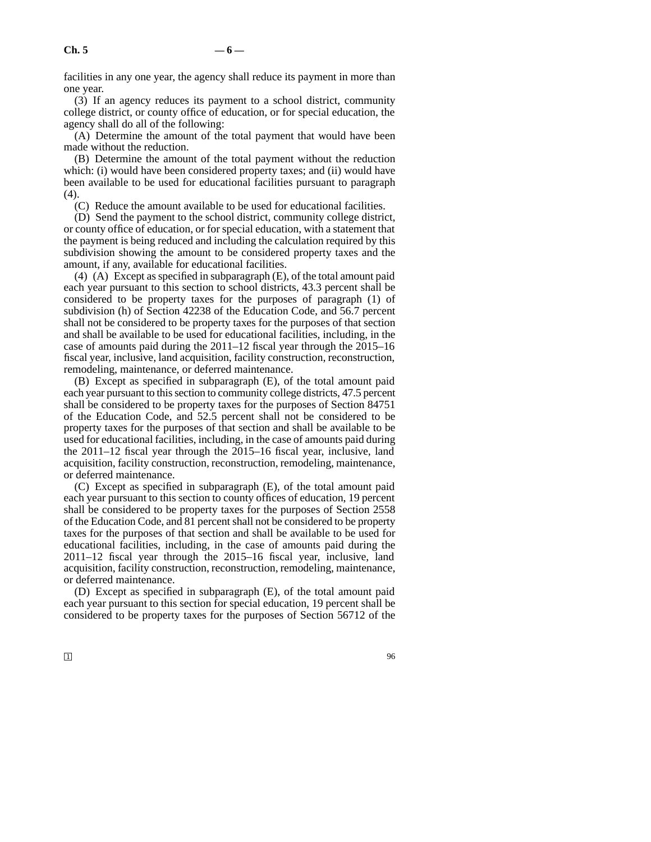facilities in any one year, the agency shall reduce its payment in more than one year.

(3) If an agency reduces its payment to a school district, community college district, or county office of education, or for special education, the agency shall do all of the following:

(A) Determine the amount of the total payment that would have been made without the reduction.

(B) Determine the amount of the total payment without the reduction which: (i) would have been considered property taxes; and (ii) would have been available to be used for educational facilities pursuant to paragraph (4).

(C) Reduce the amount available to be used for educational facilities.

(D) Send the payment to the school district, community college district, or county office of education, or for special education, with a statement that the payment is being reduced and including the calculation required by this subdivision showing the amount to be considered property taxes and the amount, if any, available for educational facilities.

(4) (A) Except as specified in subparagraph (E), of the total amount paid each year pursuant to this section to school districts, 43.3 percent shall be considered to be property taxes for the purposes of paragraph (1) of subdivision (h) of Section 42238 of the Education Code, and 56.7 percent shall not be considered to be property taxes for the purposes of that section and shall be available to be used for educational facilities, including, in the case of amounts paid during the 2011–12 fiscal year through the 2015–16 fiscal year, inclusive, land acquisition, facility construction, reconstruction, remodeling, maintenance, or deferred maintenance.

(B) Except as specified in subparagraph (E), of the total amount paid each year pursuant to this section to community college districts, 47.5 percent shall be considered to be property taxes for the purposes of Section 84751 of the Education Code, and 52.5 percent shall not be considered to be property taxes for the purposes of that section and shall be available to be used for educational facilities, including, in the case of amounts paid during the 2011–12 fiscal year through the 2015–16 fiscal year, inclusive, land acquisition, facility construction, reconstruction, remodeling, maintenance, or deferred maintenance.

(C) Except as specified in subparagraph (E), of the total amount paid each year pursuant to this section to county offices of education, 19 percent shall be considered to be property taxes for the purposes of Section 2558 of the Education Code, and 81 percent shall not be considered to be property taxes for the purposes of that section and shall be available to be used for educational facilities, including, in the case of amounts paid during the 2011–12 fiscal year through the 2015–16 fiscal year, inclusive, land acquisition, facility construction, reconstruction, remodeling, maintenance, or deferred maintenance.

(D) Except as specified in subparagraph (E), of the total amount paid each year pursuant to this section for special education, 19 percent shall be considered to be property taxes for the purposes of Section 56712 of the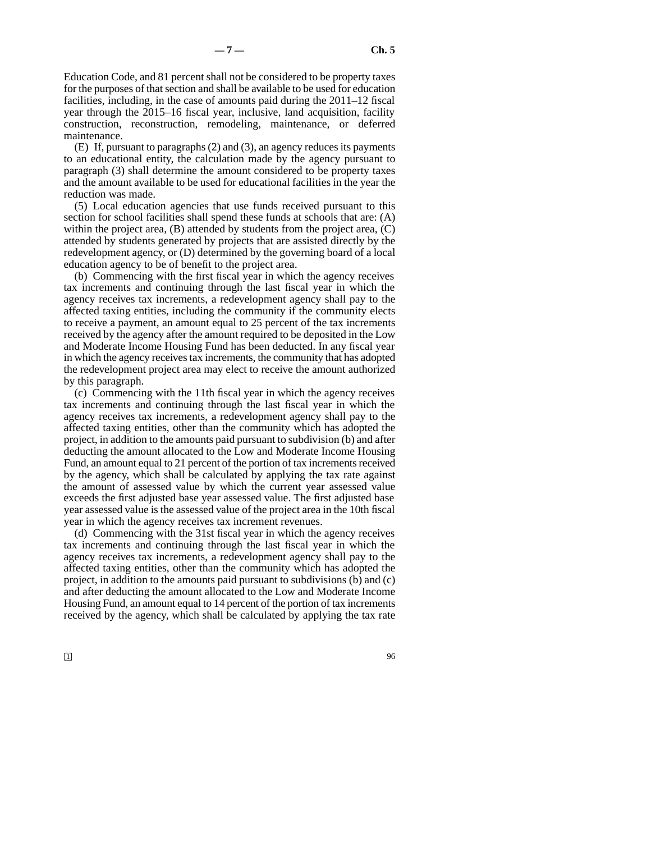Education Code, and 81 percent shall not be considered to be property taxes for the purposes of that section and shall be available to be used for education facilities, including, in the case of amounts paid during the 2011–12 fiscal year through the 2015–16 fiscal year, inclusive, land acquisition, facility construction, reconstruction, remodeling, maintenance, or deferred maintenance.

(E) If, pursuant to paragraphs (2) and (3), an agency reduces its payments to an educational entity, the calculation made by the agency pursuant to paragraph (3) shall determine the amount considered to be property taxes and the amount available to be used for educational facilities in the year the reduction was made.

(5) Local education agencies that use funds received pursuant to this section for school facilities shall spend these funds at schools that are: (A) within the project area,  $(B)$  attended by students from the project area,  $(C)$ attended by students generated by projects that are assisted directly by the redevelopment agency, or (D) determined by the governing board of a local education agency to be of benefit to the project area.

(b) Commencing with the first fiscal year in which the agency receives tax increments and continuing through the last fiscal year in which the agency receives tax increments, a redevelopment agency shall pay to the affected taxing entities, including the community if the community elects to receive a payment, an amount equal to 25 percent of the tax increments received by the agency after the amount required to be deposited in the Low and Moderate Income Housing Fund has been deducted. In any fiscal year in which the agency receives tax increments, the community that has adopted the redevelopment project area may elect to receive the amount authorized by this paragraph.

(c) Commencing with the 11th fiscal year in which the agency receives tax increments and continuing through the last fiscal year in which the agency receives tax increments, a redevelopment agency shall pay to the affected taxing entities, other than the community which has adopted the project, in addition to the amounts paid pursuant to subdivision (b) and after deducting the amount allocated to the Low and Moderate Income Housing Fund, an amount equal to 21 percent of the portion of tax increments received by the agency, which shall be calculated by applying the tax rate against the amount of assessed value by which the current year assessed value exceeds the first adjusted base year assessed value. The first adjusted base year assessed value is the assessed value of the project area in the 10th fiscal year in which the agency receives tax increment revenues.

(d) Commencing with the 31st fiscal year in which the agency receives tax increments and continuing through the last fiscal year in which the agency receives tax increments, a redevelopment agency shall pay to the affected taxing entities, other than the community which has adopted the project, in addition to the amounts paid pursuant to subdivisions (b) and (c) and after deducting the amount allocated to the Low and Moderate Income Housing Fund, an amount equal to 14 percent of the portion of tax increments received by the agency, which shall be calculated by applying the tax rate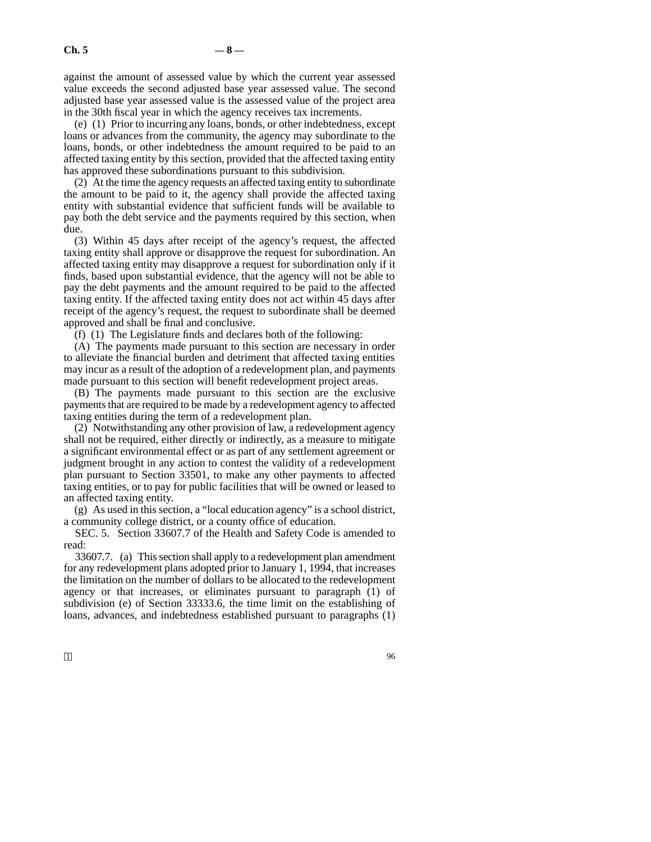against the amount of assessed value by which the current year assessed value exceeds the second adjusted base year assessed value. The second adjusted base year assessed value is the assessed value of the project area in the 30th fiscal year in which the agency receives tax increments.

(e) (1) Prior to incurring any loans, bonds, or other indebtedness, except loans or advances from the community, the agency may subordinate to the loans, bonds, or other indebtedness the amount required to be paid to an affected taxing entity by this section, provided that the affected taxing entity has approved these subordinations pursuant to this subdivision.

(2) At the time the agency requests an affected taxing entity to subordinate the amount to be paid to it, the agency shall provide the affected taxing entity with substantial evidence that sufficient funds will be available to pay both the debt service and the payments required by this section, when due.

(3) Within 45 days after receipt of the agency's request, the affected taxing entity shall approve or disapprove the request for subordination. An affected taxing entity may disapprove a request for subordination only if it finds, based upon substantial evidence, that the agency will not be able to pay the debt payments and the amount required to be paid to the affected taxing entity. If the affected taxing entity does not act within 45 days after receipt of the agency's request, the request to subordinate shall be deemed approved and shall be final and conclusive.

(f) (1) The Legislature finds and declares both of the following:

(A) The payments made pursuant to this section are necessary in order to alleviate the financial burden and detriment that affected taxing entities may incur as a result of the adoption of a redevelopment plan, and payments made pursuant to this section will benefit redevelopment project areas.

(B) The payments made pursuant to this section are the exclusive payments that are required to be made by a redevelopment agency to affected taxing entities during the term of a redevelopment plan.

(2) Notwithstanding any other provision of law, a redevelopment agency shall not be required, either directly or indirectly, as a measure to mitigate a significant environmental effect or as part of any settlement agreement or judgment brought in any action to contest the validity of a redevelopment plan pursuant to Section 33501, to make any other payments to affected taxing entities, or to pay for public facilities that will be owned or leased to an affected taxing entity.

(g) As used in this section, a "local education agency" is a school district, a community college district, or a county office of education.

SEC. 5. Section 33607.7 of the Health and Safety Code is amended to read:

33607.7. (a) This section shall apply to a redevelopment plan amendment for any redevelopment plans adopted prior to January 1, 1994, that increases the limitation on the number of dollars to be allocated to the redevelopment agency or that increases, or eliminates pursuant to paragraph (1) of subdivision (e) of Section 33333.6, the time limit on the establishing of loans, advances, and indebtedness established pursuant to paragraphs (1)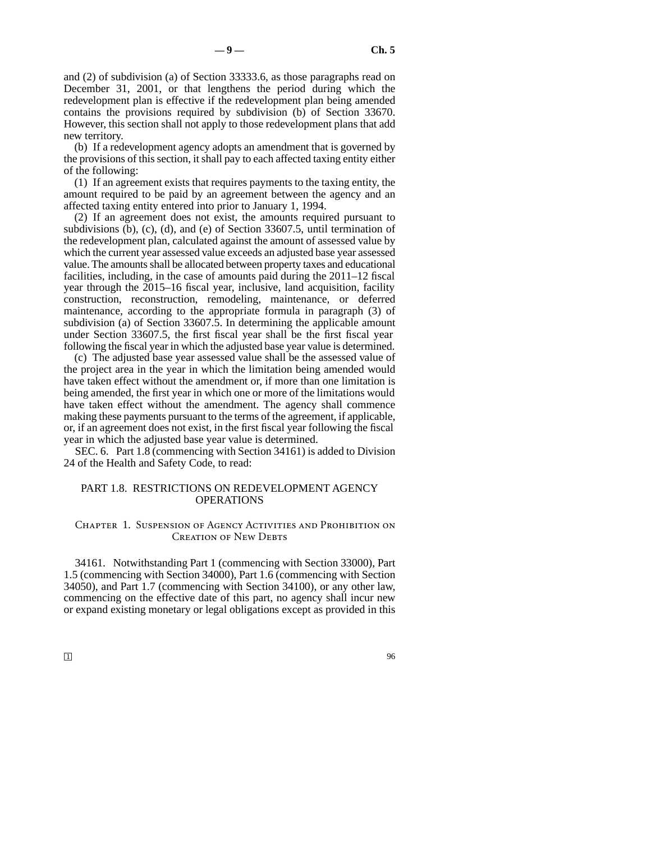and (2) of subdivision (a) of Section 33333.6, as those paragraphs read on December 31, 2001, or that lengthens the period during which the redevelopment plan is effective if the redevelopment plan being amended contains the provisions required by subdivision (b) of Section 33670. However, this section shall not apply to those redevelopment plans that add new territory.

(b) If a redevelopment agency adopts an amendment that is governed by the provisions of this section, it shall pay to each affected taxing entity either of the following:

(1) If an agreement exists that requires payments to the taxing entity, the amount required to be paid by an agreement between the agency and an affected taxing entity entered into prior to January 1, 1994.

(2) If an agreement does not exist, the amounts required pursuant to subdivisions (b), (c), (d), and (e) of Section 33607.5, until termination of the redevelopment plan, calculated against the amount of assessed value by which the current year assessed value exceeds an adjusted base year assessed value. The amounts shall be allocated between property taxes and educational facilities, including, in the case of amounts paid during the 2011–12 fiscal year through the 2015–16 fiscal year, inclusive, land acquisition, facility construction, reconstruction, remodeling, maintenance, or deferred maintenance, according to the appropriate formula in paragraph (3) of subdivision (a) of Section 33607.5. In determining the applicable amount under Section 33607.5, the first fiscal year shall be the first fiscal year following the fiscal year in which the adjusted base year value is determined.

(c) The adjusted base year assessed value shall be the assessed value of the project area in the year in which the limitation being amended would have taken effect without the amendment or, if more than one limitation is being amended, the first year in which one or more of the limitations would have taken effect without the amendment. The agency shall commence making these payments pursuant to the terms of the agreement, if applicable, or, if an agreement does not exist, in the first fiscal year following the fiscal year in which the adjusted base year value is determined.

SEC. 6. Part 1.8 (commencing with Section 34161) is added to Division 24 of the Health and Safety Code, to read:

# PART 1.8. RESTRICTIONS ON REDEVELOPMENT AGENCY OPERATIONS

# Chapter 1. Suspension of Agency Activities and Prohibition on CREATION OF NEW DEBTS

34161. Notwithstanding Part 1 (commencing with Section 33000), Part 1.5 (commencing with Section 34000), Part 1.6 (commencing with Section 34050), and Part 1.7 (commencing with Section 34100), or any other law, commencing on the effective date of this part, no agency shall incur new or expand existing monetary or legal obligations except as provided in this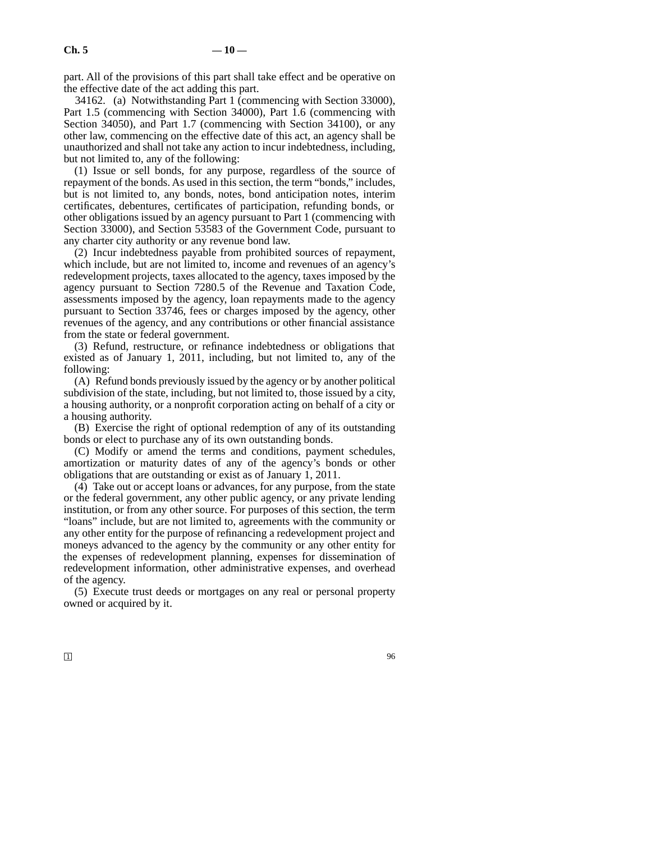part. All of the provisions of this part shall take effect and be operative on the effective date of the act adding this part.

34162. (a) Notwithstanding Part 1 (commencing with Section 33000), Part 1.5 (commencing with Section 34000), Part 1.6 (commencing with Section 34050), and Part 1.7 (commencing with Section 34100), or any other law, commencing on the effective date of this act, an agency shall be unauthorized and shall not take any action to incur indebtedness, including, but not limited to, any of the following:

(1) Issue or sell bonds, for any purpose, regardless of the source of repayment of the bonds. As used in this section, the term "bonds," includes, but is not limited to, any bonds, notes, bond anticipation notes, interim certificates, debentures, certificates of participation, refunding bonds, or other obligations issued by an agency pursuant to Part 1 (commencing with Section 33000), and Section 53583 of the Government Code, pursuant to any charter city authority or any revenue bond law.

(2) Incur indebtedness payable from prohibited sources of repayment, which include, but are not limited to, income and revenues of an agency's redevelopment projects, taxes allocated to the agency, taxes imposed by the agency pursuant to Section 7280.5 of the Revenue and Taxation Code, assessments imposed by the agency, loan repayments made to the agency pursuant to Section 33746, fees or charges imposed by the agency, other revenues of the agency, and any contributions or other financial assistance from the state or federal government.

(3) Refund, restructure, or refinance indebtedness or obligations that existed as of January 1, 2011, including, but not limited to, any of the following:

(A) Refund bonds previously issued by the agency or by another political subdivision of the state, including, but not limited to, those issued by a city, a housing authority, or a nonprofit corporation acting on behalf of a city or a housing authority.

(B) Exercise the right of optional redemption of any of its outstanding bonds or elect to purchase any of its own outstanding bonds.

(C) Modify or amend the terms and conditions, payment schedules, amortization or maturity dates of any of the agency's bonds or other obligations that are outstanding or exist as of January 1, 2011.

(4) Take out or accept loans or advances, for any purpose, from the state or the federal government, any other public agency, or any private lending institution, or from any other source. For purposes of this section, the term "loans" include, but are not limited to, agreements with the community or any other entity for the purpose of refinancing a redevelopment project and moneys advanced to the agency by the community or any other entity for the expenses of redevelopment planning, expenses for dissemination of redevelopment information, other administrative expenses, and overhead of the agency.

(5) Execute trust deeds or mortgages on any real or personal property owned or acquired by it.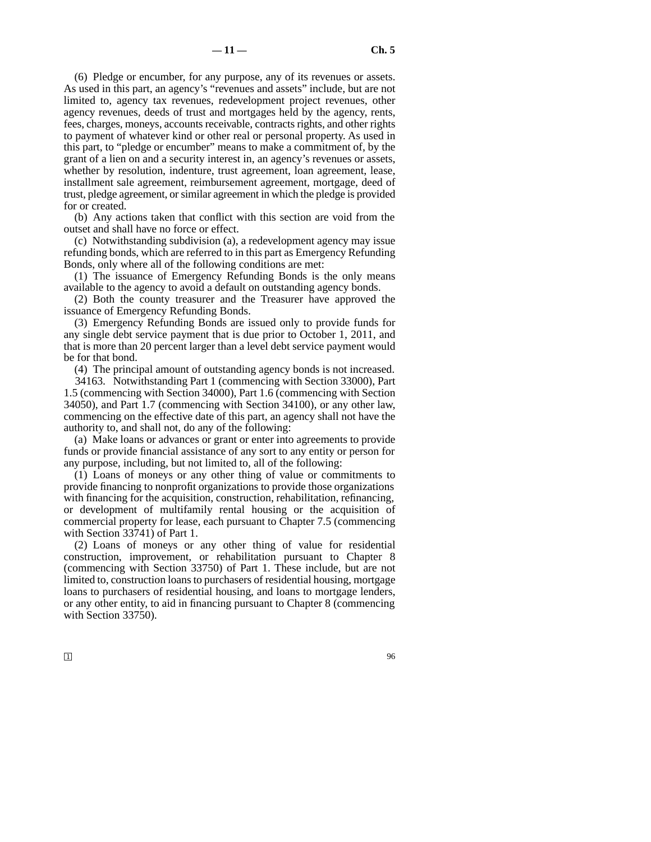(6) Pledge or encumber, for any purpose, any of its revenues or assets. As used in this part, an agency's "revenues and assets" include, but are not limited to, agency tax revenues, redevelopment project revenues, other agency revenues, deeds of trust and mortgages held by the agency, rents, fees, charges, moneys, accounts receivable, contracts rights, and other rights to payment of whatever kind or other real or personal property. As used in this part, to "pledge or encumber" means to make a commitment of, by the grant of a lien on and a security interest in, an agency's revenues or assets, whether by resolution, indenture, trust agreement, loan agreement, lease, installment sale agreement, reimbursement agreement, mortgage, deed of trust, pledge agreement, or similar agreement in which the pledge is provided for or created.

(b) Any actions taken that conflict with this section are void from the outset and shall have no force or effect.

(c) Notwithstanding subdivision (a), a redevelopment agency may issue refunding bonds, which are referred to in this part as Emergency Refunding Bonds, only where all of the following conditions are met:

(1) The issuance of Emergency Refunding Bonds is the only means available to the agency to avoid a default on outstanding agency bonds.

(2) Both the county treasurer and the Treasurer have approved the issuance of Emergency Refunding Bonds.

(3) Emergency Refunding Bonds are issued only to provide funds for any single debt service payment that is due prior to October 1, 2011, and that is more than 20 percent larger than a level debt service payment would be for that bond.

(4) The principal amount of outstanding agency bonds is not increased.

34163. Notwithstanding Part 1 (commencing with Section 33000), Part 1.5 (commencing with Section 34000), Part 1.6 (commencing with Section 34050), and Part 1.7 (commencing with Section 34100), or any other law, commencing on the effective date of this part, an agency shall not have the authority to, and shall not, do any of the following:

(a) Make loans or advances or grant or enter into agreements to provide funds or provide financial assistance of any sort to any entity or person for any purpose, including, but not limited to, all of the following:

(1) Loans of moneys or any other thing of value or commitments to provide financing to nonprofit organizations to provide those organizations with financing for the acquisition, construction, rehabilitation, refinancing, or development of multifamily rental housing or the acquisition of commercial property for lease, each pursuant to Chapter 7.5 (commencing with Section 33741) of Part 1.

(2) Loans of moneys or any other thing of value for residential construction, improvement, or rehabilitation pursuant to Chapter 8 (commencing with Section 33750) of Part 1. These include, but are not limited to, construction loans to purchasers of residential housing, mortgage loans to purchasers of residential housing, and loans to mortgage lenders, or any other entity, to aid in financing pursuant to Chapter 8 (commencing with Section 33750).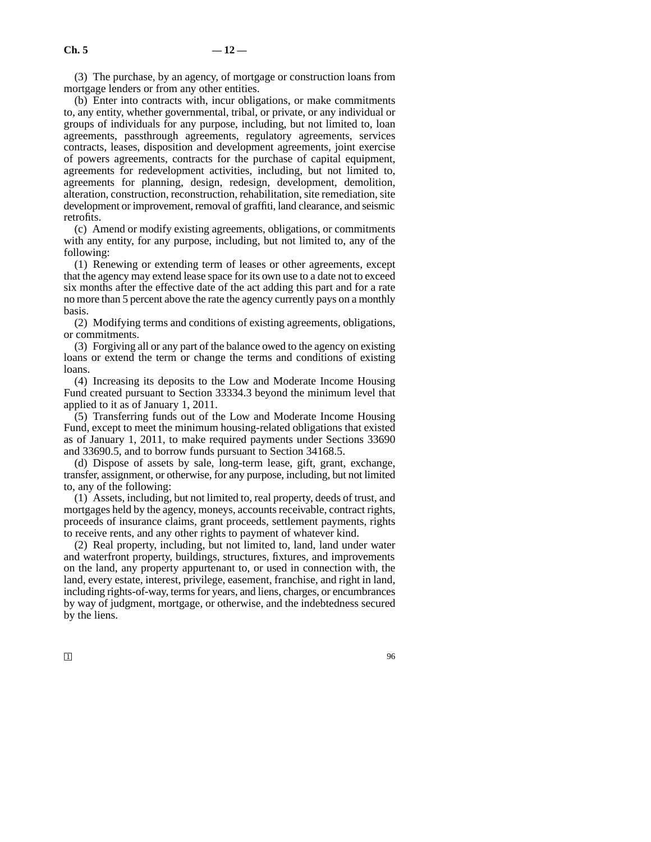(3) The purchase, by an agency, of mortgage or construction loans from mortgage lenders or from any other entities.

(b) Enter into contracts with, incur obligations, or make commitments to, any entity, whether governmental, tribal, or private, or any individual or groups of individuals for any purpose, including, but not limited to, loan agreements, passthrough agreements, regulatory agreements, services contracts, leases, disposition and development agreements, joint exercise of powers agreements, contracts for the purchase of capital equipment, agreements for redevelopment activities, including, but not limited to, agreements for planning, design, redesign, development, demolition, alteration, construction, reconstruction, rehabilitation, site remediation, site development or improvement, removal of graffiti, land clearance, and seismic retrofits.

(c) Amend or modify existing agreements, obligations, or commitments with any entity, for any purpose, including, but not limited to, any of the following:

(1) Renewing or extending term of leases or other agreements, except that the agency may extend lease space for its own use to a date not to exceed six months after the effective date of the act adding this part and for a rate no more than 5 percent above the rate the agency currently pays on a monthly basis.

(2) Modifying terms and conditions of existing agreements, obligations, or commitments.

(3) Forgiving all or any part of the balance owed to the agency on existing loans or extend the term or change the terms and conditions of existing loans.

(4) Increasing its deposits to the Low and Moderate Income Housing Fund created pursuant to Section 33334.3 beyond the minimum level that applied to it as of January 1, 2011.

(5) Transferring funds out of the Low and Moderate Income Housing Fund, except to meet the minimum housing-related obligations that existed as of January 1, 2011, to make required payments under Sections 33690 and 33690.5, and to borrow funds pursuant to Section 34168.5.

(d) Dispose of assets by sale, long-term lease, gift, grant, exchange, transfer, assignment, or otherwise, for any purpose, including, but not limited to, any of the following:

(1) Assets, including, but not limited to, real property, deeds of trust, and mortgages held by the agency, moneys, accounts receivable, contract rights, proceeds of insurance claims, grant proceeds, settlement payments, rights to receive rents, and any other rights to payment of whatever kind.

(2) Real property, including, but not limited to, land, land under water and waterfront property, buildings, structures, fixtures, and improvements on the land, any property appurtenant to, or used in connection with, the land, every estate, interest, privilege, easement, franchise, and right in land, including rights-of-way, terms for years, and liens, charges, or encumbrances by way of judgment, mortgage, or otherwise, and the indebtedness secured by the liens.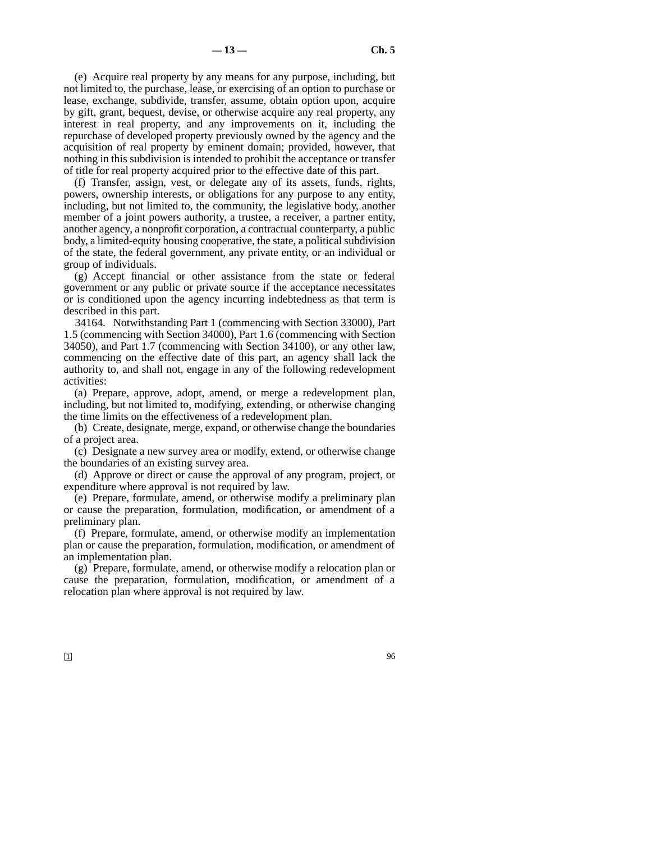(e) Acquire real property by any means for any purpose, including, but not limited to, the purchase, lease, or exercising of an option to purchase or lease, exchange, subdivide, transfer, assume, obtain option upon, acquire by gift, grant, bequest, devise, or otherwise acquire any real property, any interest in real property, and any improvements on it, including the repurchase of developed property previously owned by the agency and the acquisition of real property by eminent domain; provided, however, that nothing in this subdivision is intended to prohibit the acceptance or transfer of title for real property acquired prior to the effective date of this part.

(f) Transfer, assign, vest, or delegate any of its assets, funds, rights, powers, ownership interests, or obligations for any purpose to any entity, including, but not limited to, the community, the legislative body, another member of a joint powers authority, a trustee, a receiver, a partner entity, another agency, a nonprofit corporation, a contractual counterparty, a public body, a limited-equity housing cooperative, the state, a political subdivision of the state, the federal government, any private entity, or an individual or group of individuals.

(g) Accept financial or other assistance from the state or federal government or any public or private source if the acceptance necessitates or is conditioned upon the agency incurring indebtedness as that term is described in this part.

34164. Notwithstanding Part 1 (commencing with Section 33000), Part 1.5 (commencing with Section 34000), Part 1.6 (commencing with Section 34050), and Part 1.7 (commencing with Section 34100), or any other law, commencing on the effective date of this part, an agency shall lack the authority to, and shall not, engage in any of the following redevelopment activities:

(a) Prepare, approve, adopt, amend, or merge a redevelopment plan, including, but not limited to, modifying, extending, or otherwise changing the time limits on the effectiveness of a redevelopment plan.

(b) Create, designate, merge, expand, or otherwise change the boundaries of a project area.

(c) Designate a new survey area or modify, extend, or otherwise change the boundaries of an existing survey area.

(d) Approve or direct or cause the approval of any program, project, or expenditure where approval is not required by law.

(e) Prepare, formulate, amend, or otherwise modify a preliminary plan or cause the preparation, formulation, modification, or amendment of a preliminary plan.

(f) Prepare, formulate, amend, or otherwise modify an implementation plan or cause the preparation, formulation, modification, or amendment of an implementation plan.

(g) Prepare, formulate, amend, or otherwise modify a relocation plan or cause the preparation, formulation, modification, or amendment of a relocation plan where approval is not required by law.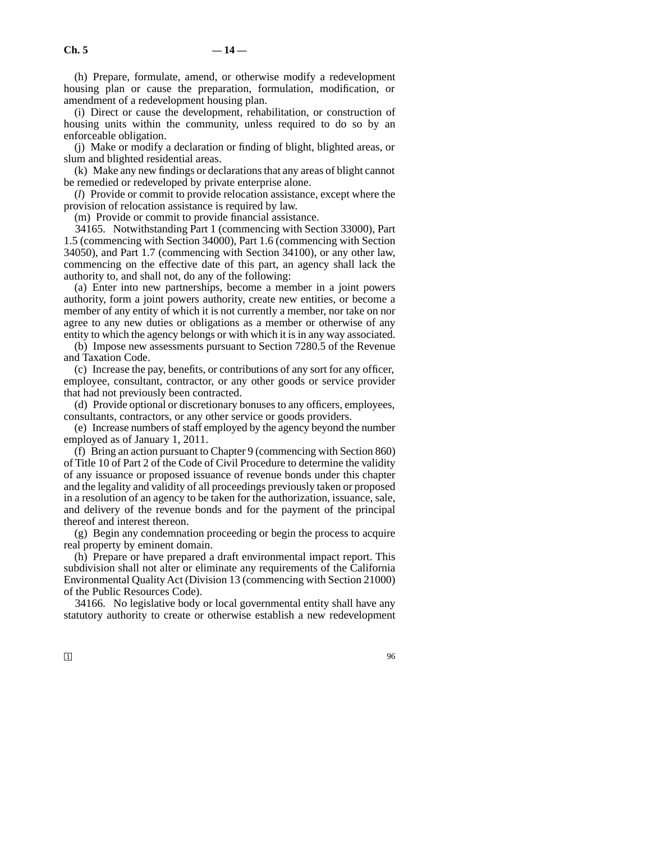(h) Prepare, formulate, amend, or otherwise modify a redevelopment housing plan or cause the preparation, formulation, modification, or amendment of a redevelopment housing plan.

(i) Direct or cause the development, rehabilitation, or construction of housing units within the community, unless required to do so by an enforceable obligation.

(j) Make or modify a declaration or finding of blight, blighted areas, or slum and blighted residential areas.

(k) Make any new findings or declarations that any areas of blight cannot be remedied or redeveloped by private enterprise alone.

(*l*) Provide or commit to provide relocation assistance, except where the provision of relocation assistance is required by law.

(m) Provide or commit to provide financial assistance.

34165. Notwithstanding Part 1 (commencing with Section 33000), Part 1.5 (commencing with Section 34000), Part 1.6 (commencing with Section 34050), and Part 1.7 (commencing with Section 34100), or any other law, commencing on the effective date of this part, an agency shall lack the authority to, and shall not, do any of the following:

(a) Enter into new partnerships, become a member in a joint powers authority, form a joint powers authority, create new entities, or become a member of any entity of which it is not currently a member, nor take on nor agree to any new duties or obligations as a member or otherwise of any entity to which the agency belongs or with which it is in any way associated.

(b) Impose new assessments pursuant to Section 7280.5 of the Revenue and Taxation Code.

(c) Increase the pay, benefits, or contributions of any sort for any officer, employee, consultant, contractor, or any other goods or service provider that had not previously been contracted.

(d) Provide optional or discretionary bonuses to any officers, employees, consultants, contractors, or any other service or goods providers.

(e) Increase numbers of staff employed by the agency beyond the number employed as of January 1, 2011.

(f) Bring an action pursuant to Chapter 9 (commencing with Section 860) of Title 10 of Part 2 of the Code of Civil Procedure to determine the validity of any issuance or proposed issuance of revenue bonds under this chapter and the legality and validity of all proceedings previously taken or proposed in a resolution of an agency to be taken for the authorization, issuance, sale, and delivery of the revenue bonds and for the payment of the principal thereof and interest thereon.

(g) Begin any condemnation proceeding or begin the process to acquire real property by eminent domain.

(h) Prepare or have prepared a draft environmental impact report. This subdivision shall not alter or eliminate any requirements of the California Environmental Quality Act (Division 13 (commencing with Section 21000) of the Public Resources Code).

34166. No legislative body or local governmental entity shall have any statutory authority to create or otherwise establish a new redevelopment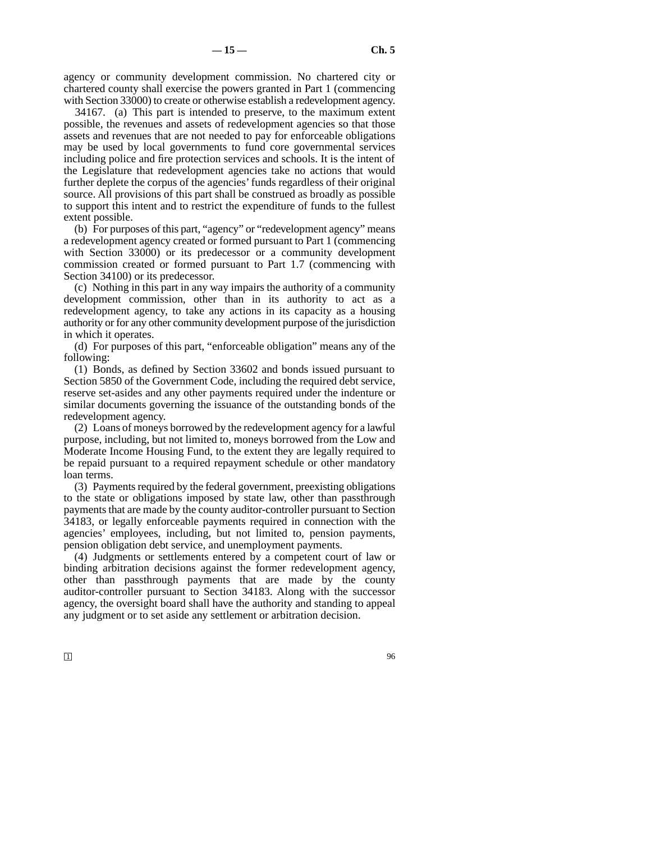agency or community development commission. No chartered city or chartered county shall exercise the powers granted in Part 1 (commencing with Section 33000) to create or otherwise establish a redevelopment agency.

34167. (a) This part is intended to preserve, to the maximum extent possible, the revenues and assets of redevelopment agencies so that those assets and revenues that are not needed to pay for enforceable obligations may be used by local governments to fund core governmental services including police and fire protection services and schools. It is the intent of the Legislature that redevelopment agencies take no actions that would further deplete the corpus of the agencies' funds regardless of their original source. All provisions of this part shall be construed as broadly as possible to support this intent and to restrict the expenditure of funds to the fullest extent possible.

(b) For purposes of this part, "agency" or "redevelopment agency" means a redevelopment agency created or formed pursuant to Part 1 (commencing with Section 33000) or its predecessor or a community development commission created or formed pursuant to Part 1.7 (commencing with Section 34100) or its predecessor.

(c) Nothing in this part in any way impairs the authority of a community development commission, other than in its authority to act as a redevelopment agency, to take any actions in its capacity as a housing authority or for any other community development purpose of the jurisdiction in which it operates.

(d) For purposes of this part, "enforceable obligation" means any of the following:

(1) Bonds, as defined by Section 33602 and bonds issued pursuant to Section 5850 of the Government Code, including the required debt service, reserve set-asides and any other payments required under the indenture or similar documents governing the issuance of the outstanding bonds of the redevelopment agency.

(2) Loans of moneys borrowed by the redevelopment agency for a lawful purpose, including, but not limited to, moneys borrowed from the Low and Moderate Income Housing Fund, to the extent they are legally required to be repaid pursuant to a required repayment schedule or other mandatory loan terms.

(3) Payments required by the federal government, preexisting obligations to the state or obligations imposed by state law, other than passthrough payments that are made by the county auditor-controller pursuant to Section 34183, or legally enforceable payments required in connection with the agencies' employees, including, but not limited to, pension payments, pension obligation debt service, and unemployment payments.

(4) Judgments or settlements entered by a competent court of law or binding arbitration decisions against the former redevelopment agency, other than passthrough payments that are made by the county auditor-controller pursuant to Section 34183. Along with the successor agency, the oversight board shall have the authority and standing to appeal any judgment or to set aside any settlement or arbitration decision.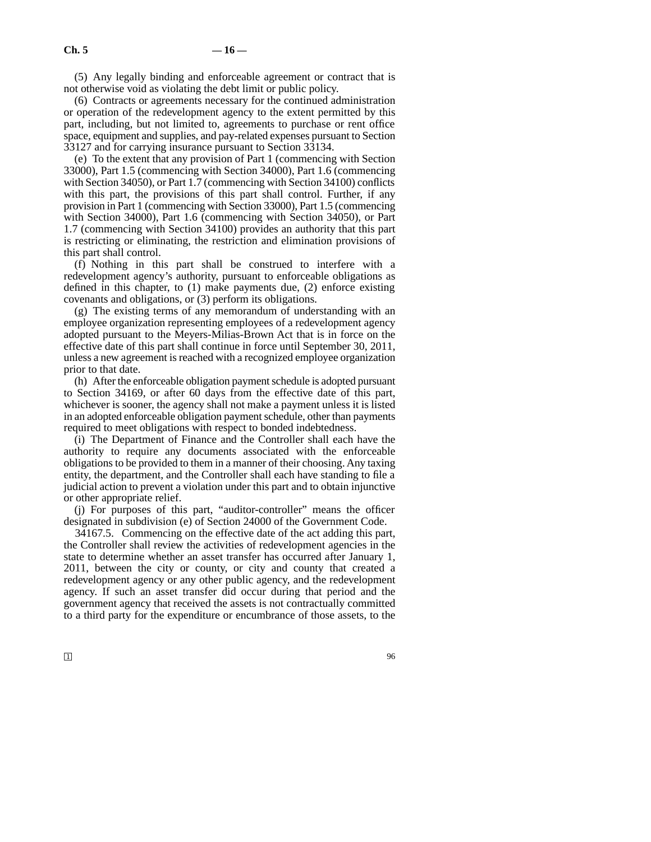(5) Any legally binding and enforceable agreement or contract that is not otherwise void as violating the debt limit or public policy.

(6) Contracts or agreements necessary for the continued administration or operation of the redevelopment agency to the extent permitted by this part, including, but not limited to, agreements to purchase or rent office space, equipment and supplies, and pay-related expenses pursuant to Section 33127 and for carrying insurance pursuant to Section 33134.

(e) To the extent that any provision of Part 1 (commencing with Section 33000), Part 1.5 (commencing with Section 34000), Part 1.6 (commencing with Section 34050), or Part 1.7 (commencing with Section 34100) conflicts with this part, the provisions of this part shall control. Further, if any provision in Part 1 (commencing with Section 33000), Part 1.5 (commencing with Section 34000), Part 1.6 (commencing with Section 34050), or Part 1.7 (commencing with Section 34100) provides an authority that this part is restricting or eliminating, the restriction and elimination provisions of this part shall control.

(f) Nothing in this part shall be construed to interfere with a redevelopment agency's authority, pursuant to enforceable obligations as defined in this chapter, to (1) make payments due, (2) enforce existing covenants and obligations, or (3) perform its obligations.

(g) The existing terms of any memorandum of understanding with an employee organization representing employees of a redevelopment agency adopted pursuant to the Meyers-Milias-Brown Act that is in force on the effective date of this part shall continue in force until September 30, 2011, unless a new agreement is reached with a recognized employee organization prior to that date.

(h) After the enforceable obligation payment schedule is adopted pursuant to Section 34169, or after 60 days from the effective date of this part, whichever is sooner, the agency shall not make a payment unless it is listed in an adopted enforceable obligation payment schedule, other than payments required to meet obligations with respect to bonded indebtedness.

(i) The Department of Finance and the Controller shall each have the authority to require any documents associated with the enforceable obligations to be provided to them in a manner of their choosing. Any taxing entity, the department, and the Controller shall each have standing to file a judicial action to prevent a violation under this part and to obtain injunctive or other appropriate relief.

(j) For purposes of this part, "auditor-controller" means the officer designated in subdivision (e) of Section 24000 of the Government Code.

34167.5. Commencing on the effective date of the act adding this part, the Controller shall review the activities of redevelopment agencies in the state to determine whether an asset transfer has occurred after January 1, 2011, between the city or county, or city and county that created a redevelopment agency or any other public agency, and the redevelopment agency. If such an asset transfer did occur during that period and the government agency that received the assets is not contractually committed to a third party for the expenditure or encumbrance of those assets, to the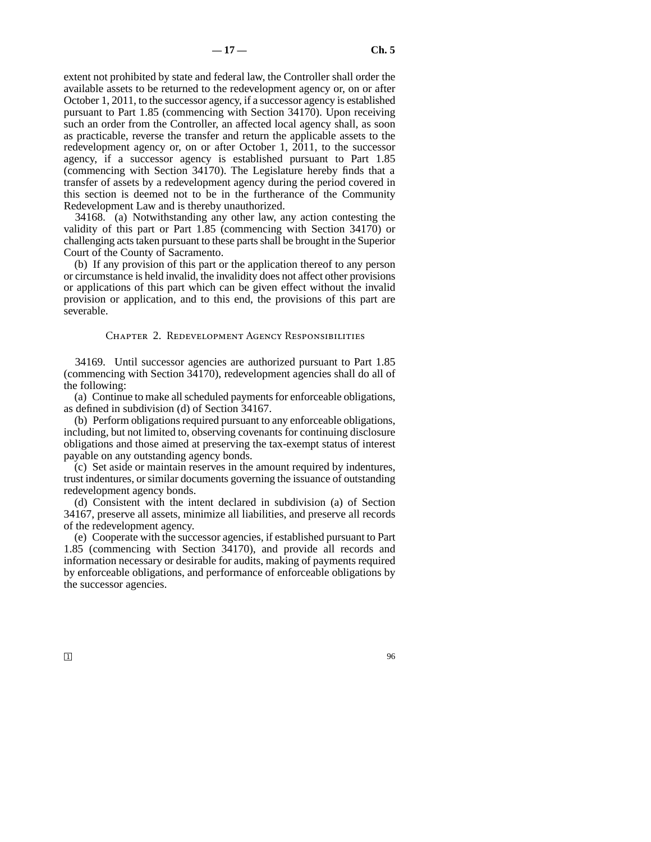extent not prohibited by state and federal law, the Controller shall order the available assets to be returned to the redevelopment agency or, on or after October 1, 2011, to the successor agency, if a successor agency is established pursuant to Part 1.85 (commencing with Section 34170). Upon receiving such an order from the Controller, an affected local agency shall, as soon as practicable, reverse the transfer and return the applicable assets to the redevelopment agency or, on or after October 1, 2011, to the successor agency, if a successor agency is established pursuant to Part 1.85 (commencing with Section 34170). The Legislature hereby finds that a transfer of assets by a redevelopment agency during the period covered in this section is deemed not to be in the furtherance of the Community Redevelopment Law and is thereby unauthorized.

34168. (a) Notwithstanding any other law, any action contesting the validity of this part or Part 1.85 (commencing with Section 34170) or challenging acts taken pursuant to these parts shall be brought in the Superior Court of the County of Sacramento.

(b) If any provision of this part or the application thereof to any person or circumstance is held invalid, the invalidity does not affect other provisions or applications of this part which can be given effect without the invalid provision or application, and to this end, the provisions of this part are severable.

#### Chapter 2. Redevelopment Agency Responsibilities

34169. Until successor agencies are authorized pursuant to Part 1.85 (commencing with Section 34170), redevelopment agencies shall do all of the following:

(a) Continue to make all scheduled payments for enforceable obligations, as defined in subdivision (d) of Section 34167.

(b) Perform obligations required pursuant to any enforceable obligations, including, but not limited to, observing covenants for continuing disclosure obligations and those aimed at preserving the tax-exempt status of interest payable on any outstanding agency bonds.

(c) Set aside or maintain reserves in the amount required by indentures, trust indentures, or similar documents governing the issuance of outstanding redevelopment agency bonds.

(d) Consistent with the intent declared in subdivision (a) of Section 34167, preserve all assets, minimize all liabilities, and preserve all records of the redevelopment agency.

(e) Cooperate with the successor agencies, if established pursuant to Part 1.85 (commencing with Section 34170), and provide all records and information necessary or desirable for audits, making of payments required by enforceable obligations, and performance of enforceable obligations by the successor agencies.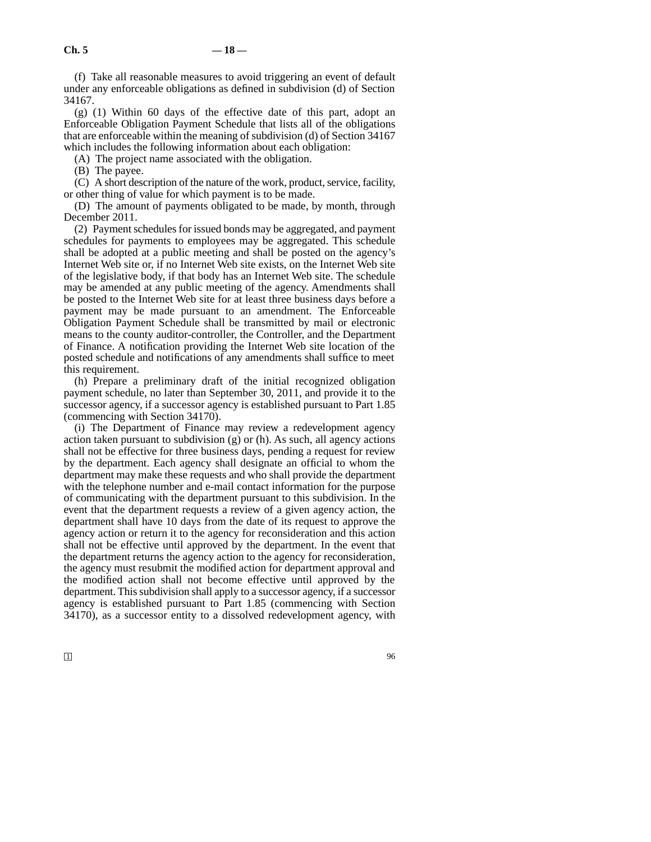(f) Take all reasonable measures to avoid triggering an event of default under any enforceable obligations as defined in subdivision (d) of Section 34167.

(g) (1) Within 60 days of the effective date of this part, adopt an Enforceable Obligation Payment Schedule that lists all of the obligations that are enforceable within the meaning of subdivision (d) of Section 34167 which includes the following information about each obligation:

(A) The project name associated with the obligation.

(B) The payee.

(C) A short description of the nature of the work, product, service, facility, or other thing of value for which payment is to be made.

(D) The amount of payments obligated to be made, by month, through December 2011.

(2) Payment schedules for issued bonds may be aggregated, and payment schedules for payments to employees may be aggregated. This schedule shall be adopted at a public meeting and shall be posted on the agency's Internet Web site or, if no Internet Web site exists, on the Internet Web site of the legislative body, if that body has an Internet Web site. The schedule may be amended at any public meeting of the agency. Amendments shall be posted to the Internet Web site for at least three business days before a payment may be made pursuant to an amendment. The Enforceable Obligation Payment Schedule shall be transmitted by mail or electronic means to the county auditor-controller, the Controller, and the Department of Finance. A notification providing the Internet Web site location of the posted schedule and notifications of any amendments shall suffice to meet this requirement.

(h) Prepare a preliminary draft of the initial recognized obligation payment schedule, no later than September 30, 2011, and provide it to the successor agency, if a successor agency is established pursuant to Part 1.85 (commencing with Section 34170).

(i) The Department of Finance may review a redevelopment agency action taken pursuant to subdivision  $(g)$  or  $(h)$ . As such, all agency actions shall not be effective for three business days, pending a request for review by the department. Each agency shall designate an official to whom the department may make these requests and who shall provide the department with the telephone number and e-mail contact information for the purpose of communicating with the department pursuant to this subdivision. In the event that the department requests a review of a given agency action, the department shall have 10 days from the date of its request to approve the agency action or return it to the agency for reconsideration and this action shall not be effective until approved by the department. In the event that the department returns the agency action to the agency for reconsideration, the agency must resubmit the modified action for department approval and the modified action shall not become effective until approved by the department. This subdivision shall apply to a successor agency, if a successor agency is established pursuant to Part 1.85 (commencing with Section 34170), as a successor entity to a dissolved redevelopment agency, with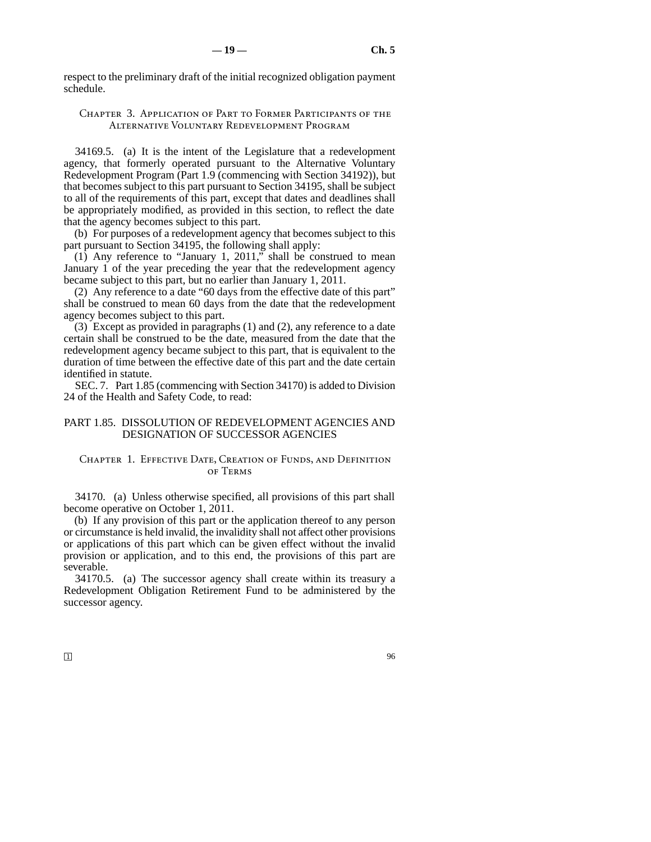respect to the preliminary draft of the initial recognized obligation payment schedule.

# Chapter 3. Application of Part to Former Participants of the Alternative Voluntary Redevelopment Program

34169.5. (a) It is the intent of the Legislature that a redevelopment agency, that formerly operated pursuant to the Alternative Voluntary Redevelopment Program (Part 1.9 (commencing with Section 34192)), but that becomes subject to this part pursuant to Section 34195, shall be subject to all of the requirements of this part, except that dates and deadlines shall be appropriately modified, as provided in this section, to reflect the date that the agency becomes subject to this part.

(b) For purposes of a redevelopment agency that becomes subject to this part pursuant to Section 34195, the following shall apply:

(1) Any reference to "January 1, 2011," shall be construed to mean January 1 of the year preceding the year that the redevelopment agency became subject to this part, but no earlier than January 1, 2011.

(2) Any reference to a date "60 days from the effective date of this part" shall be construed to mean 60 days from the date that the redevelopment agency becomes subject to this part.

(3) Except as provided in paragraphs (1) and (2), any reference to a date certain shall be construed to be the date, measured from the date that the redevelopment agency became subject to this part, that is equivalent to the duration of time between the effective date of this part and the date certain identified in statute.

SEC. 7. Part 1.85 (commencing with Section 34170) is added to Division 24 of the Health and Safety Code, to read:

# PART 1.85. DISSOLUTION OF REDEVELOPMENT AGENCIES AND DESIGNATION OF SUCCESSOR AGENCIES

# CHAPTER 1. EFFECTIVE DATE, CREATION OF FUNDS, AND DEFINITION of Terms

34170. (a) Unless otherwise specified, all provisions of this part shall become operative on October 1, 2011.

(b) If any provision of this part or the application thereof to any person or circumstance is held invalid, the invalidity shall not affect other provisions or applications of this part which can be given effect without the invalid provision or application, and to this end, the provisions of this part are severable.

34170.5. (a) The successor agency shall create within its treasury a Redevelopment Obligation Retirement Fund to be administered by the successor agency.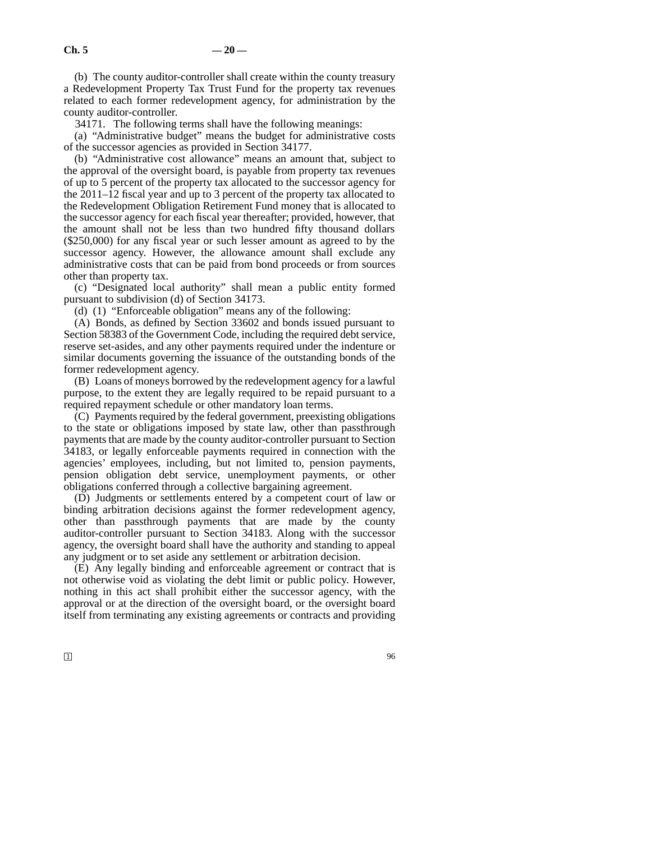(b) The county auditor-controller shall create within the county treasury a Redevelopment Property Tax Trust Fund for the property tax revenues related to each former redevelopment agency, for administration by the county auditor-controller.

34171. The following terms shall have the following meanings:

(a) "Administrative budget" means the budget for administrative costs of the successor agencies as provided in Section 34177.

(b) "Administrative cost allowance" means an amount that, subject to the approval of the oversight board, is payable from property tax revenues of up to 5 percent of the property tax allocated to the successor agency for the 2011–12 fiscal year and up to 3 percent of the property tax allocated to the Redevelopment Obligation Retirement Fund money that is allocated to the successor agency for each fiscal year thereafter; provided, however, that the amount shall not be less than two hundred fifty thousand dollars (\$250,000) for any fiscal year or such lesser amount as agreed to by the successor agency. However, the allowance amount shall exclude any administrative costs that can be paid from bond proceeds or from sources other than property tax.

(c) "Designated local authority" shall mean a public entity formed pursuant to subdivision (d) of Section 34173.

(d) (1) "Enforceable obligation" means any of the following:

(A) Bonds, as defined by Section 33602 and bonds issued pursuant to Section 58383 of the Government Code, including the required debt service, reserve set-asides, and any other payments required under the indenture or similar documents governing the issuance of the outstanding bonds of the former redevelopment agency.

(B) Loans of moneys borrowed by the redevelopment agency for a lawful purpose, to the extent they are legally required to be repaid pursuant to a required repayment schedule or other mandatory loan terms.

(C) Payments required by the federal government, preexisting obligations to the state or obligations imposed by state law, other than passthrough payments that are made by the county auditor-controller pursuant to Section 34183, or legally enforceable payments required in connection with the agencies' employees, including, but not limited to, pension payments, pension obligation debt service, unemployment payments, or other obligations conferred through a collective bargaining agreement.

(D) Judgments or settlements entered by a competent court of law or binding arbitration decisions against the former redevelopment agency, other than passthrough payments that are made by the county auditor-controller pursuant to Section 34183. Along with the successor agency, the oversight board shall have the authority and standing to appeal any judgment or to set aside any settlement or arbitration decision.

(E) Any legally binding and enforceable agreement or contract that is not otherwise void as violating the debt limit or public policy. However, nothing in this act shall prohibit either the successor agency, with the approval or at the direction of the oversight board, or the oversight board itself from terminating any existing agreements or contracts and providing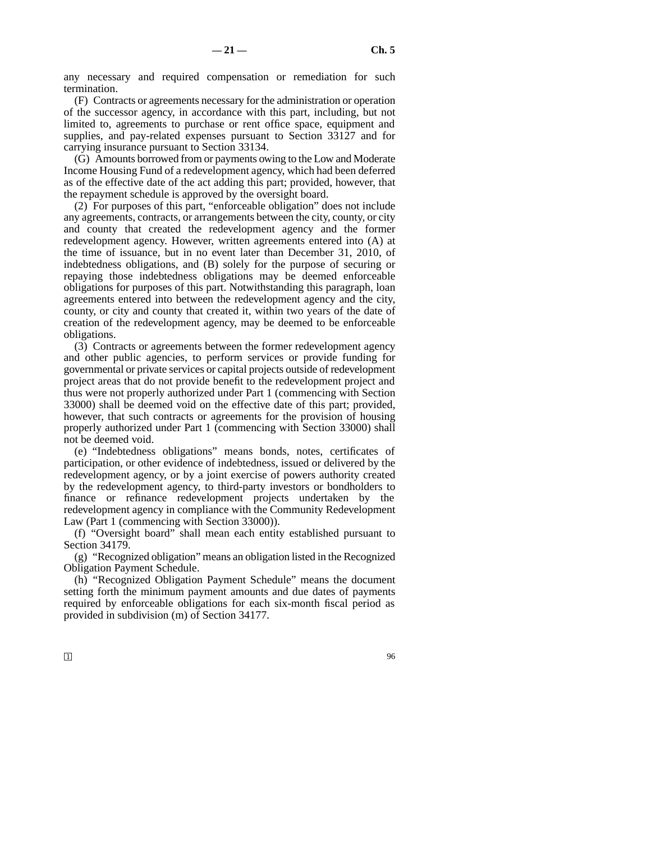any necessary and required compensation or remediation for such termination.

(F) Contracts or agreements necessary for the administration or operation of the successor agency, in accordance with this part, including, but not limited to, agreements to purchase or rent office space, equipment and supplies, and pay-related expenses pursuant to Section 33127 and for carrying insurance pursuant to Section 33134.

(G) Amounts borrowed from or payments owing to the Low and Moderate Income Housing Fund of a redevelopment agency, which had been deferred as of the effective date of the act adding this part; provided, however, that the repayment schedule is approved by the oversight board.

(2) For purposes of this part, "enforceable obligation" does not include any agreements, contracts, or arrangements between the city, county, or city and county that created the redevelopment agency and the former redevelopment agency. However, written agreements entered into (A) at the time of issuance, but in no event later than December 31, 2010, of indebtedness obligations, and (B) solely for the purpose of securing or repaying those indebtedness obligations may be deemed enforceable obligations for purposes of this part. Notwithstanding this paragraph, loan agreements entered into between the redevelopment agency and the city, county, or city and county that created it, within two years of the date of creation of the redevelopment agency, may be deemed to be enforceable obligations.

(3) Contracts or agreements between the former redevelopment agency and other public agencies, to perform services or provide funding for governmental or private services or capital projects outside of redevelopment project areas that do not provide benefit to the redevelopment project and thus were not properly authorized under Part 1 (commencing with Section 33000) shall be deemed void on the effective date of this part; provided, however, that such contracts or agreements for the provision of housing properly authorized under Part 1 (commencing with Section 33000) shall not be deemed void.

(e) "Indebtedness obligations" means bonds, notes, certificates of participation, or other evidence of indebtedness, issued or delivered by the redevelopment agency, or by a joint exercise of powers authority created by the redevelopment agency, to third-party investors or bondholders to finance or refinance redevelopment projects undertaken by the redevelopment agency in compliance with the Community Redevelopment Law (Part 1 (commencing with Section 33000)).

(f) "Oversight board" shall mean each entity established pursuant to Section 34179.

(g) "Recognized obligation" means an obligation listed in the Recognized Obligation Payment Schedule.

(h) "Recognized Obligation Payment Schedule" means the document setting forth the minimum payment amounts and due dates of payments required by enforceable obligations for each six-month fiscal period as provided in subdivision (m) of Section 34177.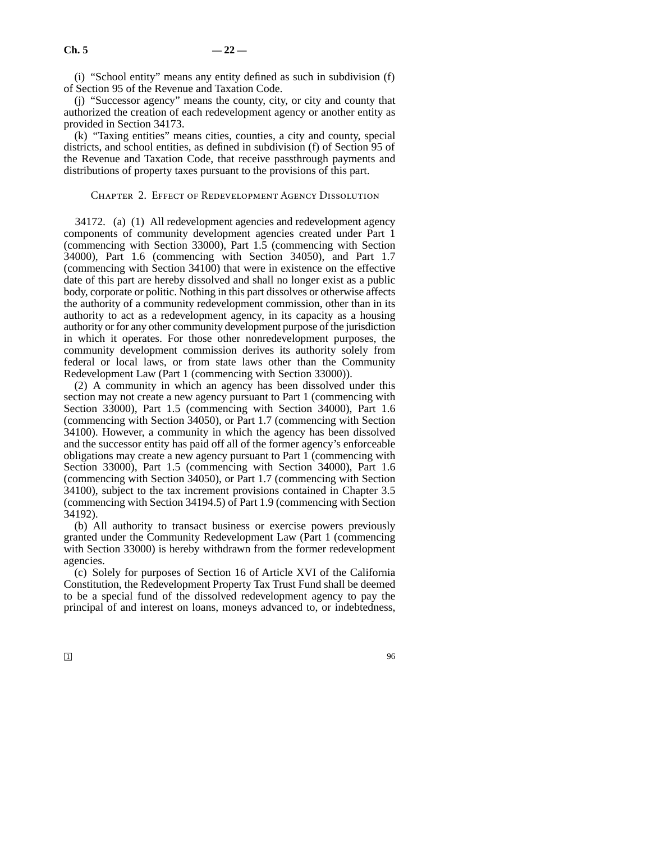(i) "School entity" means any entity defined as such in subdivision (f) of Section 95 of the Revenue and Taxation Code.

(j) "Successor agency" means the county, city, or city and county that authorized the creation of each redevelopment agency or another entity as provided in Section 34173.

(k) "Taxing entities" means cities, counties, a city and county, special districts, and school entities, as defined in subdivision (f) of Section 95 of the Revenue and Taxation Code, that receive passthrough payments and distributions of property taxes pursuant to the provisions of this part.

# Chapter 2. Effect of Redevelopment Agency Dissolution

34172. (a) (1) All redevelopment agencies and redevelopment agency components of community development agencies created under Part 1 (commencing with Section 33000), Part 1.5 (commencing with Section 34000), Part 1.6 (commencing with Section 34050), and Part 1.7 (commencing with Section 34100) that were in existence on the effective date of this part are hereby dissolved and shall no longer exist as a public body, corporate or politic. Nothing in this part dissolves or otherwise affects the authority of a community redevelopment commission, other than in its authority to act as a redevelopment agency, in its capacity as a housing authority or for any other community development purpose of the jurisdiction in which it operates. For those other nonredevelopment purposes, the community development commission derives its authority solely from federal or local laws, or from state laws other than the Community Redevelopment Law (Part 1 (commencing with Section 33000)).

(2) A community in which an agency has been dissolved under this section may not create a new agency pursuant to Part 1 (commencing with Section 33000), Part 1.5 (commencing with Section 34000), Part 1.6 (commencing with Section 34050), or Part 1.7 (commencing with Section 34100). However, a community in which the agency has been dissolved and the successor entity has paid off all of the former agency's enforceable obligations may create a new agency pursuant to Part 1 (commencing with Section 33000), Part 1.5 (commencing with Section 34000), Part 1.6 (commencing with Section 34050), or Part 1.7 (commencing with Section 34100), subject to the tax increment provisions contained in Chapter 3.5 (commencing with Section 34194.5) of Part 1.9 (commencing with Section 34192).

(b) All authority to transact business or exercise powers previously granted under the Community Redevelopment Law (Part 1 (commencing with Section 33000) is hereby withdrawn from the former redevelopment agencies.

(c) Solely for purposes of Section 16 of Article XVI of the California Constitution, the Redevelopment Property Tax Trust Fund shall be deemed to be a special fund of the dissolved redevelopment agency to pay the principal of and interest on loans, moneys advanced to, or indebtedness,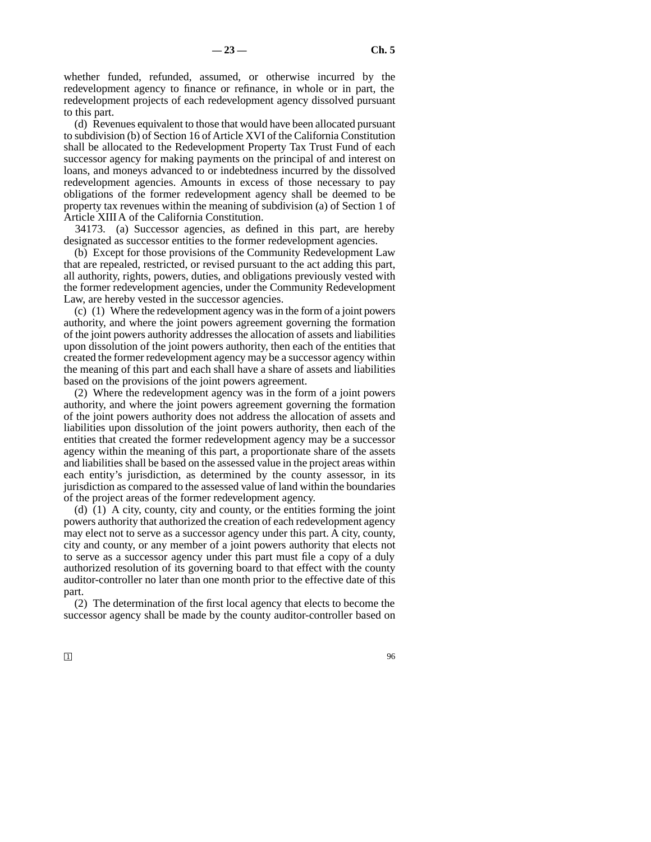whether funded, refunded, assumed, or otherwise incurred by the redevelopment agency to finance or refinance, in whole or in part, the redevelopment projects of each redevelopment agency dissolved pursuant to this part.

(d) Revenues equivalent to those that would have been allocated pursuant to subdivision (b) of Section 16 of Article XVI of the California Constitution shall be allocated to the Redevelopment Property Tax Trust Fund of each successor agency for making payments on the principal of and interest on loans, and moneys advanced to or indebtedness incurred by the dissolved redevelopment agencies. Amounts in excess of those necessary to pay obligations of the former redevelopment agency shall be deemed to be property tax revenues within the meaning of subdivision (a) of Section 1 of Article XIIIA of the California Constitution.

34173. (a) Successor agencies, as defined in this part, are hereby designated as successor entities to the former redevelopment agencies.

(b) Except for those provisions of the Community Redevelopment Law that are repealed, restricted, or revised pursuant to the act adding this part, all authority, rights, powers, duties, and obligations previously vested with the former redevelopment agencies, under the Community Redevelopment Law, are hereby vested in the successor agencies.

(c) (1) Where the redevelopment agency was in the form of a joint powers authority, and where the joint powers agreement governing the formation of the joint powers authority addresses the allocation of assets and liabilities upon dissolution of the joint powers authority, then each of the entities that created the former redevelopment agency may be a successor agency within the meaning of this part and each shall have a share of assets and liabilities based on the provisions of the joint powers agreement.

(2) Where the redevelopment agency was in the form of a joint powers authority, and where the joint powers agreement governing the formation of the joint powers authority does not address the allocation of assets and liabilities upon dissolution of the joint powers authority, then each of the entities that created the former redevelopment agency may be a successor agency within the meaning of this part, a proportionate share of the assets and liabilities shall be based on the assessed value in the project areas within each entity's jurisdiction, as determined by the county assessor, in its jurisdiction as compared to the assessed value of land within the boundaries of the project areas of the former redevelopment agency.

(d) (1) A city, county, city and county, or the entities forming the joint powers authority that authorized the creation of each redevelopment agency may elect not to serve as a successor agency under this part. A city, county, city and county, or any member of a joint powers authority that elects not to serve as a successor agency under this part must file a copy of a duly authorized resolution of its governing board to that effect with the county auditor-controller no later than one month prior to the effective date of this part.

(2) The determination of the first local agency that elects to become the successor agency shall be made by the county auditor-controller based on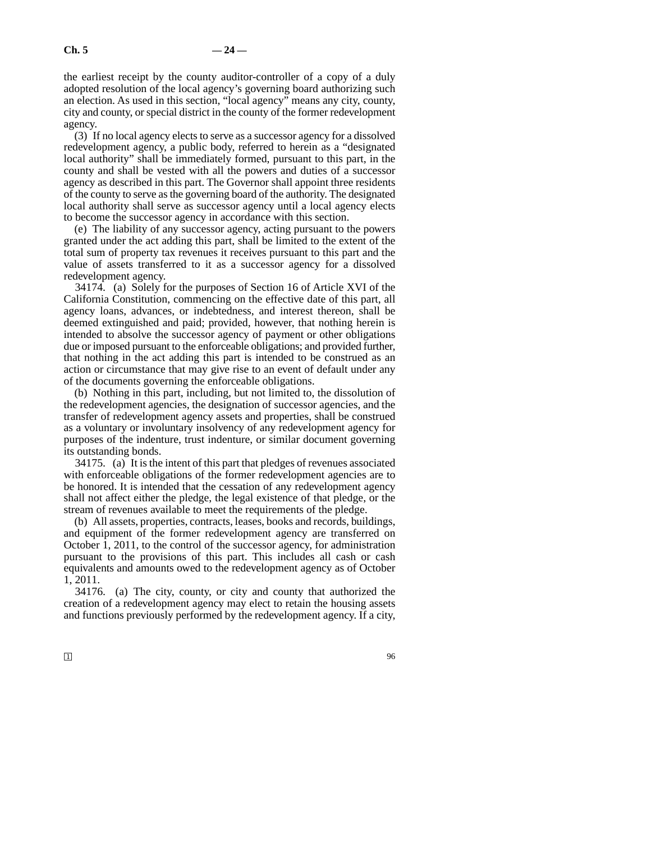the earliest receipt by the county auditor-controller of a copy of a duly adopted resolution of the local agency's governing board authorizing such an election. As used in this section, "local agency" means any city, county, city and county, or special district in the county of the former redevelopment agency.

(3) If no local agency elects to serve as a successor agency for a dissolved redevelopment agency, a public body, referred to herein as a "designated local authority" shall be immediately formed, pursuant to this part, in the county and shall be vested with all the powers and duties of a successor agency as described in this part. The Governor shall appoint three residents of the county to serve as the governing board of the authority. The designated local authority shall serve as successor agency until a local agency elects to become the successor agency in accordance with this section.

(e) The liability of any successor agency, acting pursuant to the powers granted under the act adding this part, shall be limited to the extent of the total sum of property tax revenues it receives pursuant to this part and the value of assets transferred to it as a successor agency for a dissolved redevelopment agency.

34174. (a) Solely for the purposes of Section 16 of Article XVI of the California Constitution, commencing on the effective date of this part, all agency loans, advances, or indebtedness, and interest thereon, shall be deemed extinguished and paid; provided, however, that nothing herein is intended to absolve the successor agency of payment or other obligations due or imposed pursuant to the enforceable obligations; and provided further, that nothing in the act adding this part is intended to be construed as an action or circumstance that may give rise to an event of default under any of the documents governing the enforceable obligations.

(b) Nothing in this part, including, but not limited to, the dissolution of the redevelopment agencies, the designation of successor agencies, and the transfer of redevelopment agency assets and properties, shall be construed as a voluntary or involuntary insolvency of any redevelopment agency for purposes of the indenture, trust indenture, or similar document governing its outstanding bonds.

34175. (a) It is the intent of this part that pledges of revenues associated with enforceable obligations of the former redevelopment agencies are to be honored. It is intended that the cessation of any redevelopment agency shall not affect either the pledge, the legal existence of that pledge, or the stream of revenues available to meet the requirements of the pledge.

(b) All assets, properties, contracts, leases, books and records, buildings, and equipment of the former redevelopment agency are transferred on October 1, 2011, to the control of the successor agency, for administration pursuant to the provisions of this part. This includes all cash or cash equivalents and amounts owed to the redevelopment agency as of October 1, 2011.

34176. (a) The city, county, or city and county that authorized the creation of a redevelopment agency may elect to retain the housing assets and functions previously performed by the redevelopment agency. If a city,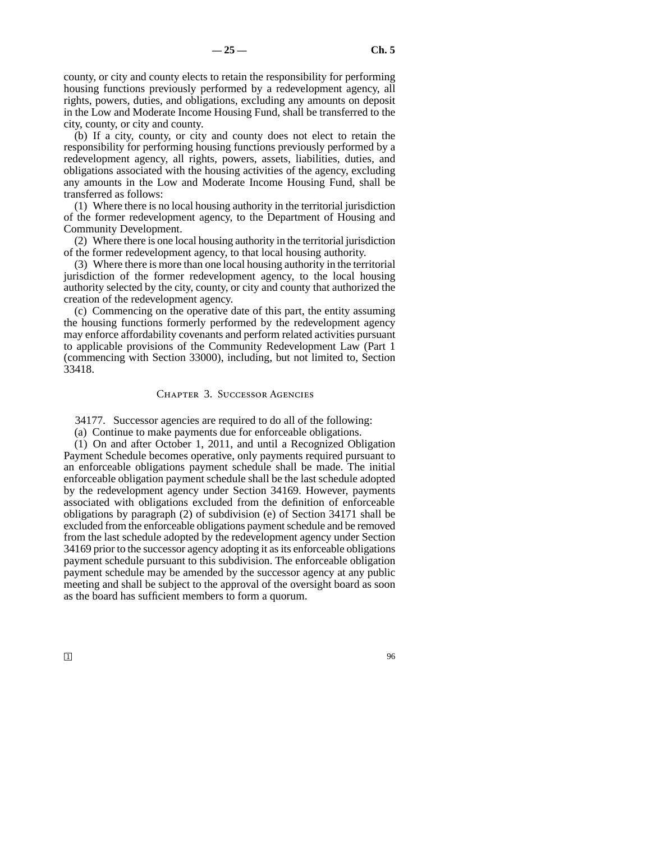county, or city and county elects to retain the responsibility for performing housing functions previously performed by a redevelopment agency, all rights, powers, duties, and obligations, excluding any amounts on deposit in the Low and Moderate Income Housing Fund, shall be transferred to the city, county, or city and county.

(b) If a city, county, or city and county does not elect to retain the responsibility for performing housing functions previously performed by a redevelopment agency, all rights, powers, assets, liabilities, duties, and obligations associated with the housing activities of the agency, excluding any amounts in the Low and Moderate Income Housing Fund, shall be transferred as follows:

(1) Where there is no local housing authority in the territorial jurisdiction of the former redevelopment agency, to the Department of Housing and Community Development.

(2) Where there is one local housing authority in the territorial jurisdiction of the former redevelopment agency, to that local housing authority.

(3) Where there is more than one local housing authority in the territorial jurisdiction of the former redevelopment agency, to the local housing authority selected by the city, county, or city and county that authorized the creation of the redevelopment agency.

(c) Commencing on the operative date of this part, the entity assuming the housing functions formerly performed by the redevelopment agency may enforce affordability covenants and perform related activities pursuant to applicable provisions of the Community Redevelopment Law (Part 1 (commencing with Section 33000), including, but not limited to, Section 33418.

### Chapter 3. Successor Agencies

34177. Successor agencies are required to do all of the following:

(a) Continue to make payments due for enforceable obligations.

(1) On and after October 1, 2011, and until a Recognized Obligation Payment Schedule becomes operative, only payments required pursuant to an enforceable obligations payment schedule shall be made. The initial enforceable obligation payment schedule shall be the last schedule adopted by the redevelopment agency under Section 34169. However, payments associated with obligations excluded from the definition of enforceable obligations by paragraph (2) of subdivision (e) of Section 34171 shall be excluded from the enforceable obligations payment schedule and be removed from the last schedule adopted by the redevelopment agency under Section 34169 prior to the successor agency adopting it as its enforceable obligations payment schedule pursuant to this subdivision. The enforceable obligation payment schedule may be amended by the successor agency at any public meeting and shall be subject to the approval of the oversight board as soon as the board has sufficient members to form a quorum.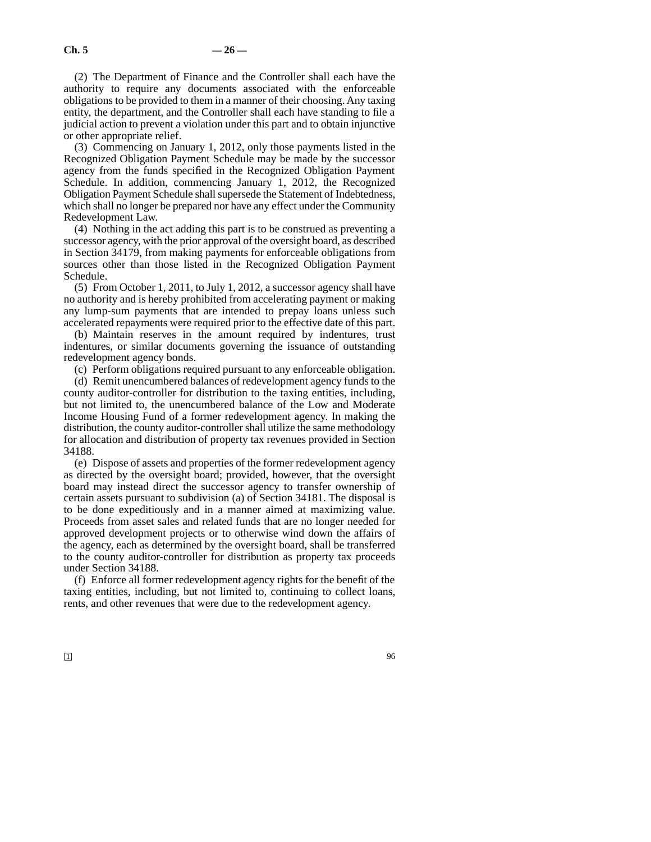(2) The Department of Finance and the Controller shall each have the authority to require any documents associated with the enforceable obligations to be provided to them in a manner of their choosing. Any taxing entity, the department, and the Controller shall each have standing to file a judicial action to prevent a violation under this part and to obtain injunctive or other appropriate relief.

(3) Commencing on January 1, 2012, only those payments listed in the Recognized Obligation Payment Schedule may be made by the successor agency from the funds specified in the Recognized Obligation Payment Schedule. In addition, commencing January 1, 2012, the Recognized Obligation Payment Schedule shall supersede the Statement of Indebtedness, which shall no longer be prepared nor have any effect under the Community Redevelopment Law.

(4) Nothing in the act adding this part is to be construed as preventing a successor agency, with the prior approval of the oversight board, as described in Section 34179, from making payments for enforceable obligations from sources other than those listed in the Recognized Obligation Payment Schedule.

(5) From October 1, 2011, to July 1, 2012, a successor agency shall have no authority and is hereby prohibited from accelerating payment or making any lump-sum payments that are intended to prepay loans unless such accelerated repayments were required prior to the effective date of this part.

(b) Maintain reserves in the amount required by indentures, trust indentures, or similar documents governing the issuance of outstanding redevelopment agency bonds.

(c) Perform obligations required pursuant to any enforceable obligation.

(d) Remit unencumbered balances of redevelopment agency funds to the county auditor-controller for distribution to the taxing entities, including, but not limited to, the unencumbered balance of the Low and Moderate Income Housing Fund of a former redevelopment agency. In making the distribution, the county auditor-controller shall utilize the same methodology for allocation and distribution of property tax revenues provided in Section 34188.

(e) Dispose of assets and properties of the former redevelopment agency as directed by the oversight board; provided, however, that the oversight board may instead direct the successor agency to transfer ownership of certain assets pursuant to subdivision (a) of Section 34181. The disposal is to be done expeditiously and in a manner aimed at maximizing value. Proceeds from asset sales and related funds that are no longer needed for approved development projects or to otherwise wind down the affairs of the agency, each as determined by the oversight board, shall be transferred to the county auditor-controller for distribution as property tax proceeds under Section 34188.

(f) Enforce all former redevelopment agency rights for the benefit of the taxing entities, including, but not limited to, continuing to collect loans, rents, and other revenues that were due to the redevelopment agency.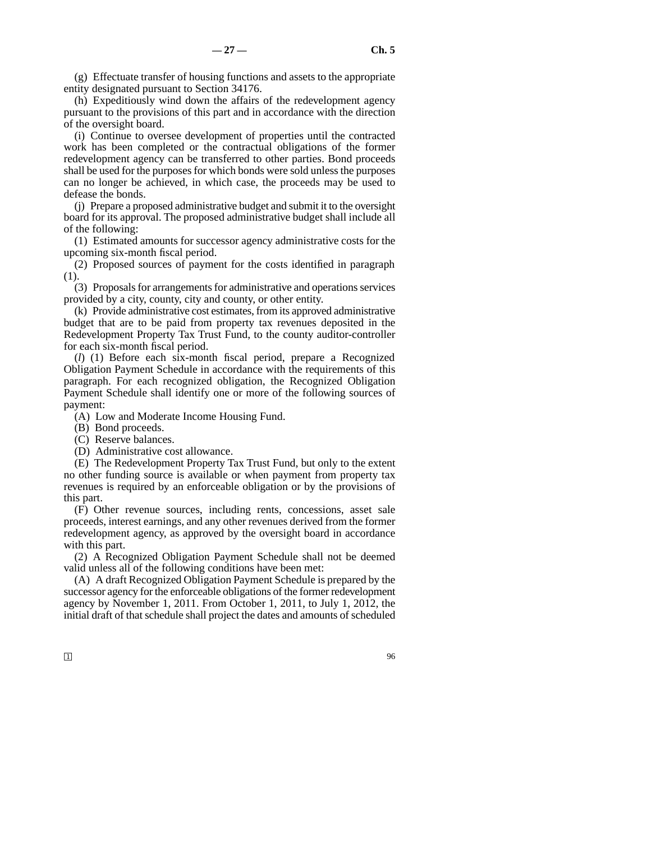(g) Effectuate transfer of housing functions and assets to the appropriate entity designated pursuant to Section 34176.

(h) Expeditiously wind down the affairs of the redevelopment agency pursuant to the provisions of this part and in accordance with the direction of the oversight board.

(i) Continue to oversee development of properties until the contracted work has been completed or the contractual obligations of the former redevelopment agency can be transferred to other parties. Bond proceeds shall be used for the purposes for which bonds were sold unless the purposes can no longer be achieved, in which case, the proceeds may be used to defease the bonds.

(j) Prepare a proposed administrative budget and submit it to the oversight board for its approval. The proposed administrative budget shall include all of the following:

(1) Estimated amounts for successor agency administrative costs for the upcoming six-month fiscal period.

(2) Proposed sources of payment for the costs identified in paragraph (1).

(3) Proposals for arrangements for administrative and operations services provided by a city, county, city and county, or other entity.

(k) Provide administrative cost estimates, from its approved administrative budget that are to be paid from property tax revenues deposited in the Redevelopment Property Tax Trust Fund, to the county auditor-controller for each six-month fiscal period.

(*l*) (1) Before each six-month fiscal period, prepare a Recognized Obligation Payment Schedule in accordance with the requirements of this paragraph. For each recognized obligation, the Recognized Obligation Payment Schedule shall identify one or more of the following sources of payment:

(A) Low and Moderate Income Housing Fund.

- (B) Bond proceeds.
- (C) Reserve balances.
- (D) Administrative cost allowance.

(E) The Redevelopment Property Tax Trust Fund, but only to the extent no other funding source is available or when payment from property tax revenues is required by an enforceable obligation or by the provisions of this part.

(F) Other revenue sources, including rents, concessions, asset sale proceeds, interest earnings, and any other revenues derived from the former redevelopment agency, as approved by the oversight board in accordance with this part.

(2) A Recognized Obligation Payment Schedule shall not be deemed valid unless all of the following conditions have been met:

(A) A draft Recognized Obligation Payment Schedule is prepared by the successor agency for the enforceable obligations of the former redevelopment agency by November 1, 2011. From October 1, 2011, to July 1, 2012, the initial draft of that schedule shall project the dates and amounts of scheduled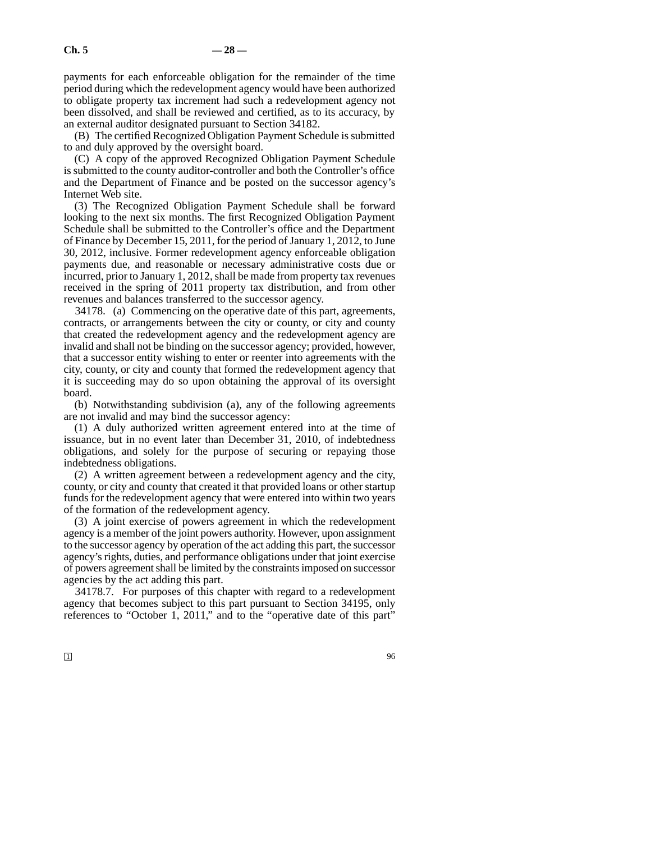payments for each enforceable obligation for the remainder of the time period during which the redevelopment agency would have been authorized to obligate property tax increment had such a redevelopment agency not been dissolved, and shall be reviewed and certified, as to its accuracy, by an external auditor designated pursuant to Section 34182.

(B) The certified Recognized Obligation Payment Schedule is submitted to and duly approved by the oversight board.

(C) A copy of the approved Recognized Obligation Payment Schedule is submitted to the county auditor-controller and both the Controller's office and the Department of Finance and be posted on the successor agency's Internet Web site.

(3) The Recognized Obligation Payment Schedule shall be forward looking to the next six months. The first Recognized Obligation Payment Schedule shall be submitted to the Controller's office and the Department of Finance by December 15, 2011, for the period of January 1, 2012, to June 30, 2012, inclusive. Former redevelopment agency enforceable obligation payments due, and reasonable or necessary administrative costs due or incurred, prior to January 1, 2012, shall be made from property tax revenues received in the spring of 2011 property tax distribution, and from other revenues and balances transferred to the successor agency.

34178. (a) Commencing on the operative date of this part, agreements, contracts, or arrangements between the city or county, or city and county that created the redevelopment agency and the redevelopment agency are invalid and shall not be binding on the successor agency; provided, however, that a successor entity wishing to enter or reenter into agreements with the city, county, or city and county that formed the redevelopment agency that it is succeeding may do so upon obtaining the approval of its oversight board.

(b) Notwithstanding subdivision (a), any of the following agreements are not invalid and may bind the successor agency:

(1) A duly authorized written agreement entered into at the time of issuance, but in no event later than December 31, 2010, of indebtedness obligations, and solely for the purpose of securing or repaying those indebtedness obligations.

(2) A written agreement between a redevelopment agency and the city, county, or city and county that created it that provided loans or other startup funds for the redevelopment agency that were entered into within two years of the formation of the redevelopment agency.

(3) A joint exercise of powers agreement in which the redevelopment agency is a member of the joint powers authority. However, upon assignment to the successor agency by operation of the act adding this part, the successor agency's rights, duties, and performance obligations under that joint exercise of powers agreement shall be limited by the constraints imposed on successor agencies by the act adding this part.

34178.7. For purposes of this chapter with regard to a redevelopment agency that becomes subject to this part pursuant to Section 34195, only references to "October 1, 2011," and to the "operative date of this part"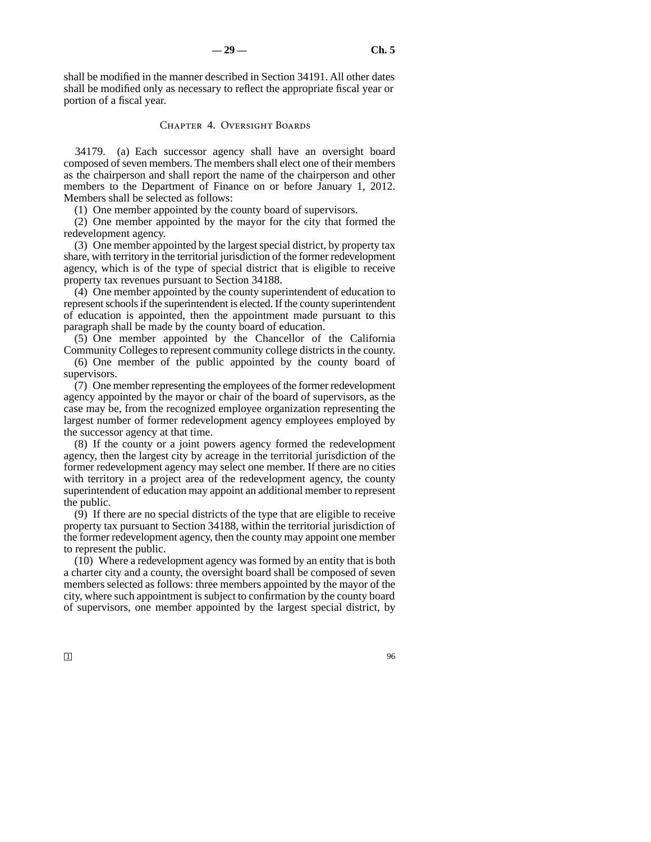shall be modified in the manner described in Section 34191. All other dates shall be modified only as necessary to reflect the appropriate fiscal year or portion of a fiscal year.

#### Chapter 4. Oversight Boards

34179. (a) Each successor agency shall have an oversight board composed of seven members. The members shall elect one of their members as the chairperson and shall report the name of the chairperson and other members to the Department of Finance on or before January 1, 2012. Members shall be selected as follows:

(1) One member appointed by the county board of supervisors.

(2) One member appointed by the mayor for the city that formed the redevelopment agency.

(3) One member appointed by the largest special district, by property tax share, with territory in the territorial jurisdiction of the former redevelopment agency, which is of the type of special district that is eligible to receive property tax revenues pursuant to Section 34188.

(4) One member appointed by the county superintendent of education to represent schools if the superintendent is elected. If the county superintendent of education is appointed, then the appointment made pursuant to this paragraph shall be made by the county board of education.

(5) One member appointed by the Chancellor of the California Community Colleges to represent community college districts in the county.

(6) One member of the public appointed by the county board of supervisors.

(7) One member representing the employees of the former redevelopment agency appointed by the mayor or chair of the board of supervisors, as the case may be, from the recognized employee organization representing the largest number of former redevelopment agency employees employed by the successor agency at that time.

(8) If the county or a joint powers agency formed the redevelopment agency, then the largest city by acreage in the territorial jurisdiction of the former redevelopment agency may select one member. If there are no cities with territory in a project area of the redevelopment agency, the county superintendent of education may appoint an additional member to represent the public.

(9) If there are no special districts of the type that are eligible to receive property tax pursuant to Section 34188, within the territorial jurisdiction of the former redevelopment agency, then the county may appoint one member to represent the public.

(10) Where a redevelopment agency was formed by an entity that is both a charter city and a county, the oversight board shall be composed of seven members selected as follows: three members appointed by the mayor of the city, where such appointment is subject to confirmation by the county board of supervisors, one member appointed by the largest special district, by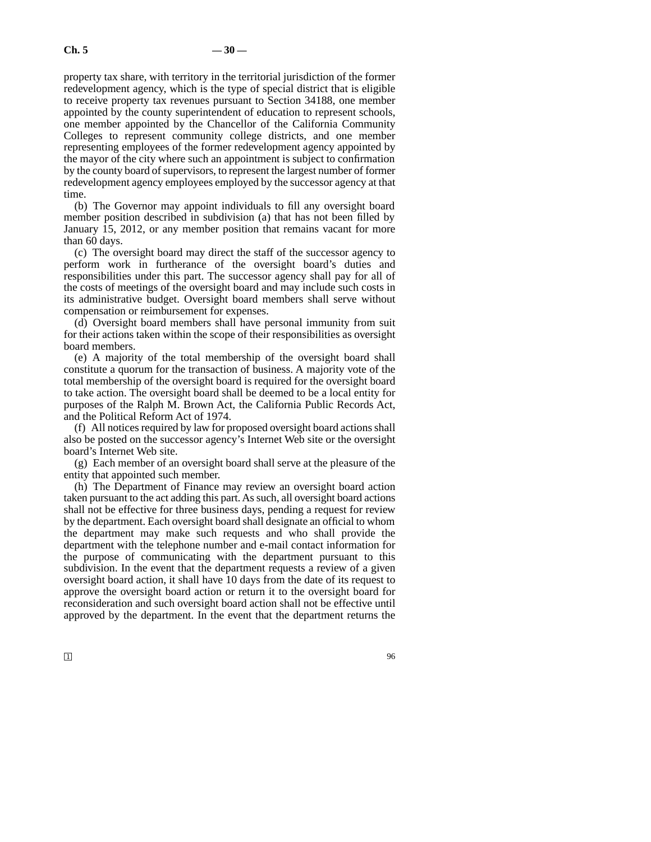property tax share, with territory in the territorial jurisdiction of the former redevelopment agency, which is the type of special district that is eligible to receive property tax revenues pursuant to Section 34188, one member appointed by the county superintendent of education to represent schools, one member appointed by the Chancellor of the California Community Colleges to represent community college districts, and one member representing employees of the former redevelopment agency appointed by the mayor of the city where such an appointment is subject to confirmation by the county board of supervisors, to represent the largest number of former redevelopment agency employees employed by the successor agency at that time.

(b) The Governor may appoint individuals to fill any oversight board member position described in subdivision (a) that has not been filled by January 15, 2012, or any member position that remains vacant for more than 60 days.

(c) The oversight board may direct the staff of the successor agency to perform work in furtherance of the oversight board's duties and responsibilities under this part. The successor agency shall pay for all of the costs of meetings of the oversight board and may include such costs in its administrative budget. Oversight board members shall serve without compensation or reimbursement for expenses.

(d) Oversight board members shall have personal immunity from suit for their actions taken within the scope of their responsibilities as oversight board members.

(e) A majority of the total membership of the oversight board shall constitute a quorum for the transaction of business. A majority vote of the total membership of the oversight board is required for the oversight board to take action. The oversight board shall be deemed to be a local entity for purposes of the Ralph M. Brown Act, the California Public Records Act, and the Political Reform Act of 1974.

(f) All notices required by law for proposed oversight board actions shall also be posted on the successor agency's Internet Web site or the oversight board's Internet Web site.

(g) Each member of an oversight board shall serve at the pleasure of the entity that appointed such member.

(h) The Department of Finance may review an oversight board action taken pursuant to the act adding this part. As such, all oversight board actions shall not be effective for three business days, pending a request for review by the department. Each oversight board shall designate an official to whom the department may make such requests and who shall provide the department with the telephone number and e-mail contact information for the purpose of communicating with the department pursuant to this subdivision. In the event that the department requests a review of a given oversight board action, it shall have 10 days from the date of its request to approve the oversight board action or return it to the oversight board for reconsideration and such oversight board action shall not be effective until approved by the department. In the event that the department returns the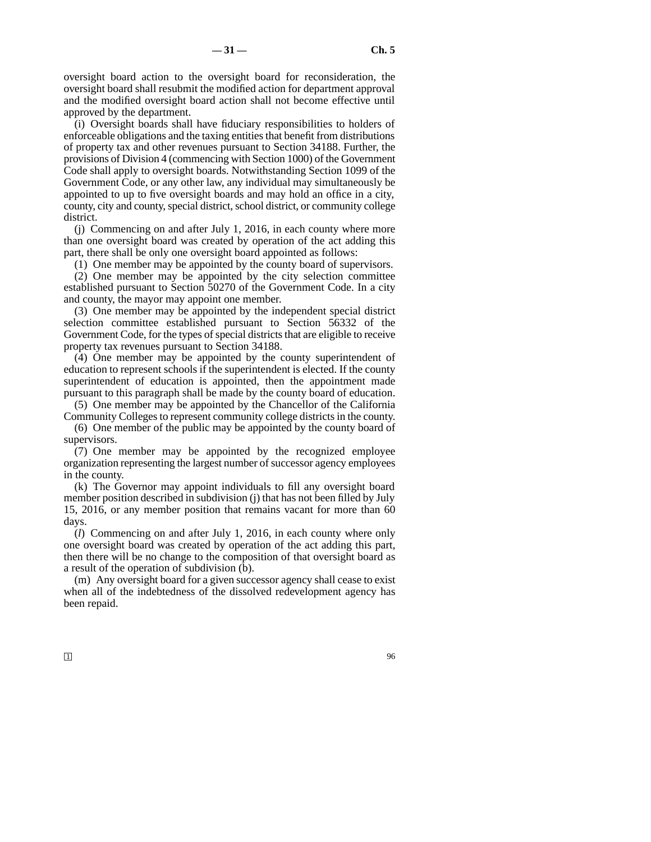oversight board action to the oversight board for reconsideration, the oversight board shall resubmit the modified action for department approval and the modified oversight board action shall not become effective until approved by the department.

(i) Oversight boards shall have fiduciary responsibilities to holders of enforceable obligations and the taxing entities that benefit from distributions of property tax and other revenues pursuant to Section 34188. Further, the provisions of Division 4 (commencing with Section 1000) of the Government Code shall apply to oversight boards. Notwithstanding Section 1099 of the Government Code, or any other law, any individual may simultaneously be appointed to up to five oversight boards and may hold an office in a city, county, city and county, special district, school district, or community college district.

(j) Commencing on and after July 1, 2016, in each county where more than one oversight board was created by operation of the act adding this part, there shall be only one oversight board appointed as follows:

(1) One member may be appointed by the county board of supervisors.

(2) One member may be appointed by the city selection committee established pursuant to Section 50270 of the Government Code. In a city and county, the mayor may appoint one member.

(3) One member may be appointed by the independent special district selection committee established pursuant to Section 56332 of the Government Code, for the types of special districts that are eligible to receive property tax revenues pursuant to Section 34188.

(4) One member may be appointed by the county superintendent of education to represent schools if the superintendent is elected. If the county superintendent of education is appointed, then the appointment made pursuant to this paragraph shall be made by the county board of education.

(5) One member may be appointed by the Chancellor of the California Community Colleges to represent community college districts in the county.

(6) One member of the public may be appointed by the county board of supervisors.

(7) One member may be appointed by the recognized employee organization representing the largest number of successor agency employees in the county.

(k) The Governor may appoint individuals to fill any oversight board member position described in subdivision (j) that has not been filled by July 15, 2016, or any member position that remains vacant for more than 60 days.

(*l*) Commencing on and after July 1, 2016, in each county where only one oversight board was created by operation of the act adding this part, then there will be no change to the composition of that oversight board as a result of the operation of subdivision (b).

(m) Any oversight board for a given successor agency shall cease to exist when all of the indebtedness of the dissolved redevelopment agency has been repaid.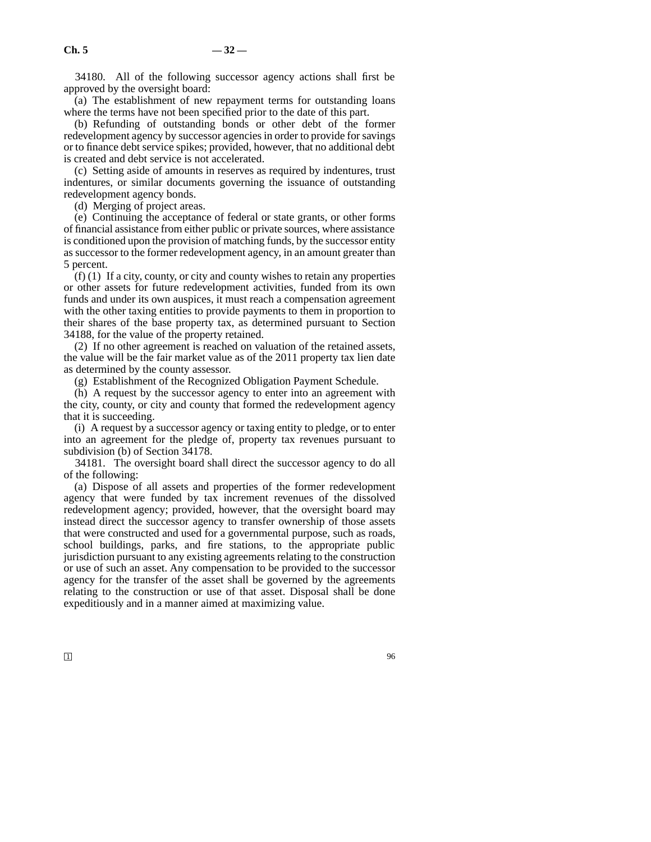34180. All of the following successor agency actions shall first be approved by the oversight board:

(a) The establishment of new repayment terms for outstanding loans where the terms have not been specified prior to the date of this part.

(b) Refunding of outstanding bonds or other debt of the former redevelopment agency by successor agencies in order to provide for savings or to finance debt service spikes; provided, however, that no additional debt is created and debt service is not accelerated.

(c) Setting aside of amounts in reserves as required by indentures, trust indentures, or similar documents governing the issuance of outstanding redevelopment agency bonds.

(d) Merging of project areas.

(e) Continuing the acceptance of federal or state grants, or other forms of financial assistance from either public or private sources, where assistance is conditioned upon the provision of matching funds, by the successor entity as successor to the former redevelopment agency, in an amount greater than 5 percent.

 $(f)$  (1) If a city, county, or city and county wishes to retain any properties or other assets for future redevelopment activities, funded from its own funds and under its own auspices, it must reach a compensation agreement with the other taxing entities to provide payments to them in proportion to their shares of the base property tax, as determined pursuant to Section 34188, for the value of the property retained.

(2) If no other agreement is reached on valuation of the retained assets, the value will be the fair market value as of the 2011 property tax lien date as determined by the county assessor.

(g) Establishment of the Recognized Obligation Payment Schedule.

(h) A request by the successor agency to enter into an agreement with the city, county, or city and county that formed the redevelopment agency that it is succeeding.

(i) A request by a successor agency or taxing entity to pledge, or to enter into an agreement for the pledge of, property tax revenues pursuant to subdivision (b) of Section 34178.

34181. The oversight board shall direct the successor agency to do all of the following:

(a) Dispose of all assets and properties of the former redevelopment agency that were funded by tax increment revenues of the dissolved redevelopment agency; provided, however, that the oversight board may instead direct the successor agency to transfer ownership of those assets that were constructed and used for a governmental purpose, such as roads, school buildings, parks, and fire stations, to the appropriate public jurisdiction pursuant to any existing agreements relating to the construction or use of such an asset. Any compensation to be provided to the successor agency for the transfer of the asset shall be governed by the agreements relating to the construction or use of that asset. Disposal shall be done expeditiously and in a manner aimed at maximizing value.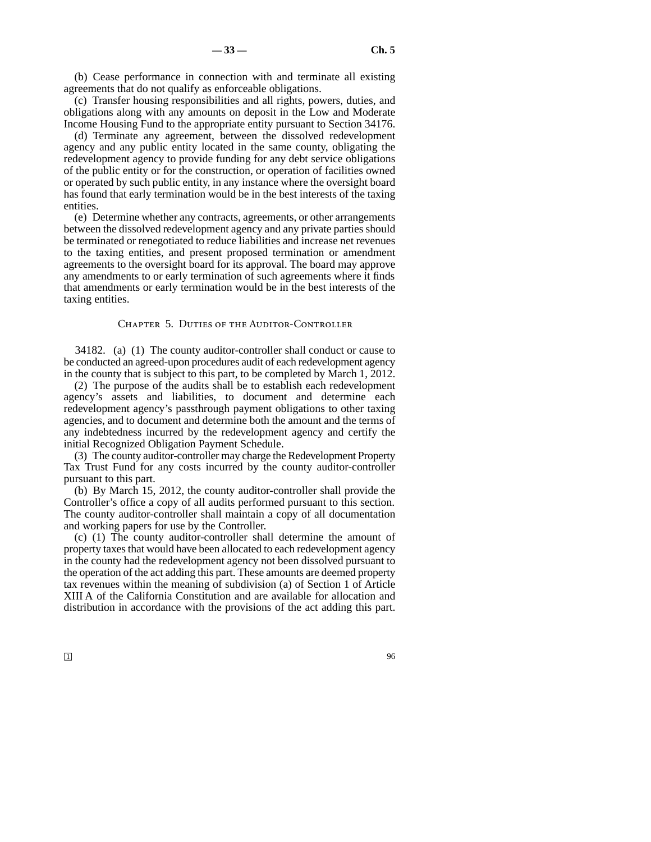(b) Cease performance in connection with and terminate all existing agreements that do not qualify as enforceable obligations.

(c) Transfer housing responsibilities and all rights, powers, duties, and obligations along with any amounts on deposit in the Low and Moderate Income Housing Fund to the appropriate entity pursuant to Section 34176.

(d) Terminate any agreement, between the dissolved redevelopment agency and any public entity located in the same county, obligating the redevelopment agency to provide funding for any debt service obligations of the public entity or for the construction, or operation of facilities owned or operated by such public entity, in any instance where the oversight board has found that early termination would be in the best interests of the taxing entities.

(e) Determine whether any contracts, agreements, or other arrangements between the dissolved redevelopment agency and any private parties should be terminated or renegotiated to reduce liabilities and increase net revenues to the taxing entities, and present proposed termination or amendment agreements to the oversight board for its approval. The board may approve any amendments to or early termination of such agreements where it finds that amendments or early termination would be in the best interests of the taxing entities.

# Chapter 5. Duties of the Auditor-Controller

34182. (a) (1) The county auditor-controller shall conduct or cause to be conducted an agreed-upon procedures audit of each redevelopment agency in the county that is subject to this part, to be completed by March 1, 2012.

(2) The purpose of the audits shall be to establish each redevelopment agency's assets and liabilities, to document and determine each redevelopment agency's passthrough payment obligations to other taxing agencies, and to document and determine both the amount and the terms of any indebtedness incurred by the redevelopment agency and certify the initial Recognized Obligation Payment Schedule.

(3) The county auditor-controller may charge the Redevelopment Property Tax Trust Fund for any costs incurred by the county auditor-controller pursuant to this part.

(b) By March 15, 2012, the county auditor-controller shall provide the Controller's office a copy of all audits performed pursuant to this section. The county auditor-controller shall maintain a copy of all documentation and working papers for use by the Controller.

(c) (1) The county auditor-controller shall determine the amount of property taxes that would have been allocated to each redevelopment agency in the county had the redevelopment agency not been dissolved pursuant to the operation of the act adding this part. These amounts are deemed property tax revenues within the meaning of subdivision (a) of Section 1 of Article XIII A of the California Constitution and are available for allocation and distribution in accordance with the provisions of the act adding this part.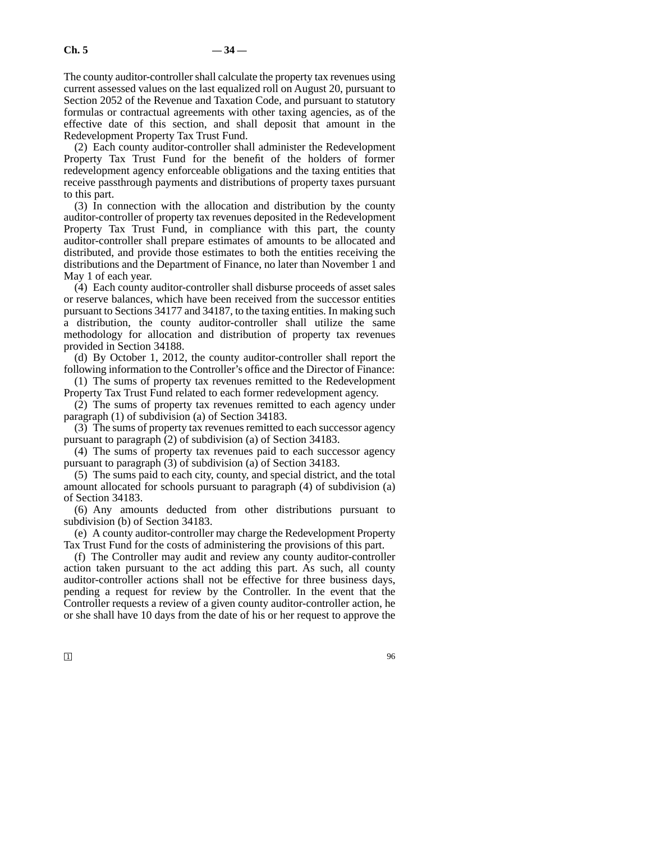The county auditor-controller shall calculate the property tax revenues using current assessed values on the last equalized roll on August 20, pursuant to Section 2052 of the Revenue and Taxation Code, and pursuant to statutory formulas or contractual agreements with other taxing agencies, as of the effective date of this section, and shall deposit that amount in the Redevelopment Property Tax Trust Fund.

(2) Each county auditor-controller shall administer the Redevelopment Property Tax Trust Fund for the benefit of the holders of former redevelopment agency enforceable obligations and the taxing entities that receive passthrough payments and distributions of property taxes pursuant to this part.

(3) In connection with the allocation and distribution by the county auditor-controller of property tax revenues deposited in the Redevelopment Property Tax Trust Fund, in compliance with this part, the county auditor-controller shall prepare estimates of amounts to be allocated and distributed, and provide those estimates to both the entities receiving the distributions and the Department of Finance, no later than November 1 and May 1 of each year.

(4) Each county auditor-controller shall disburse proceeds of asset sales or reserve balances, which have been received from the successor entities pursuant to Sections 34177 and 34187, to the taxing entities. In making such a distribution, the county auditor-controller shall utilize the same methodology for allocation and distribution of property tax revenues provided in Section 34188.

(d) By October 1, 2012, the county auditor-controller shall report the following information to the Controller's office and the Director of Finance:

(1) The sums of property tax revenues remitted to the Redevelopment Property Tax Trust Fund related to each former redevelopment agency.

(2) The sums of property tax revenues remitted to each agency under paragraph (1) of subdivision (a) of Section 34183.

(3) The sums of property tax revenues remitted to each successor agency pursuant to paragraph (2) of subdivision (a) of Section 34183.

(4) The sums of property tax revenues paid to each successor agency pursuant to paragraph (3) of subdivision (a) of Section 34183.

(5) The sums paid to each city, county, and special district, and the total amount allocated for schools pursuant to paragraph (4) of subdivision (a) of Section 34183.

(6) Any amounts deducted from other distributions pursuant to subdivision (b) of Section 34183.

(e) A county auditor-controller may charge the Redevelopment Property Tax Trust Fund for the costs of administering the provisions of this part.

(f) The Controller may audit and review any county auditor-controller action taken pursuant to the act adding this part. As such, all county auditor-controller actions shall not be effective for three business days, pending a request for review by the Controller. In the event that the Controller requests a review of a given county auditor-controller action, he or she shall have 10 days from the date of his or her request to approve the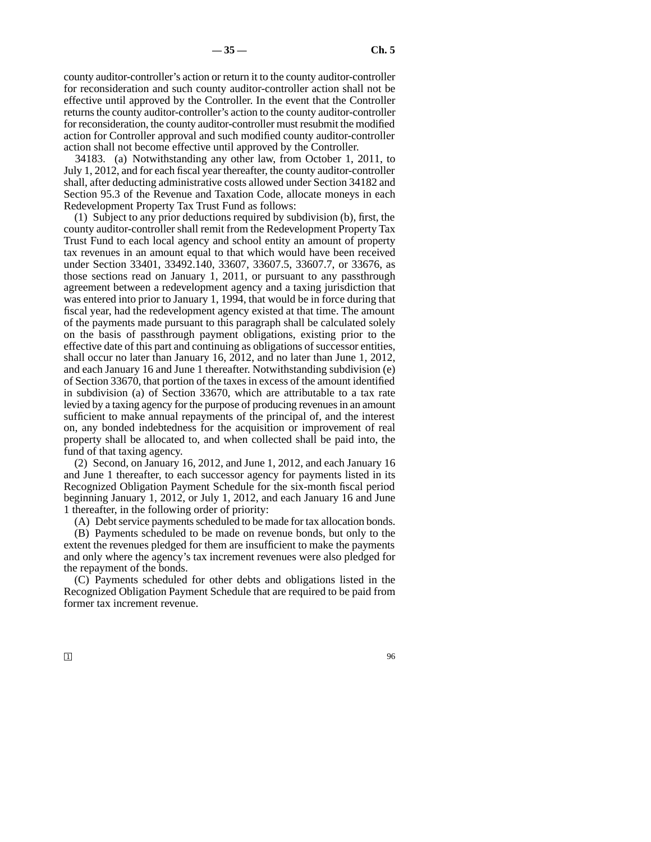county auditor-controller's action or return it to the county auditor-controller for reconsideration and such county auditor-controller action shall not be effective until approved by the Controller. In the event that the Controller returns the county auditor-controller's action to the county auditor-controller for reconsideration, the county auditor-controller must resubmit the modified action for Controller approval and such modified county auditor-controller action shall not become effective until approved by the Controller.

34183. (a) Notwithstanding any other law, from October 1, 2011, to July 1, 2012, and for each fiscal year thereafter, the county auditor-controller shall, after deducting administrative costs allowed under Section 34182 and Section 95.3 of the Revenue and Taxation Code, allocate moneys in each Redevelopment Property Tax Trust Fund as follows:

(1) Subject to any prior deductions required by subdivision (b), first, the county auditor-controller shall remit from the Redevelopment Property Tax Trust Fund to each local agency and school entity an amount of property tax revenues in an amount equal to that which would have been received under Section 33401, 33492.140, 33607, 33607.5, 33607.7, or 33676, as those sections read on January 1, 2011, or pursuant to any passthrough agreement between a redevelopment agency and a taxing jurisdiction that was entered into prior to January 1, 1994, that would be in force during that fiscal year, had the redevelopment agency existed at that time. The amount of the payments made pursuant to this paragraph shall be calculated solely on the basis of passthrough payment obligations, existing prior to the effective date of this part and continuing as obligations of successor entities, shall occur no later than January 16, 2012, and no later than June 1, 2012, and each January 16 and June 1 thereafter. Notwithstanding subdivision (e) of Section 33670, that portion of the taxes in excess of the amount identified in subdivision (a) of Section 33670, which are attributable to a tax rate levied by a taxing agency for the purpose of producing revenues in an amount sufficient to make annual repayments of the principal of, and the interest on, any bonded indebtedness for the acquisition or improvement of real property shall be allocated to, and when collected shall be paid into, the fund of that taxing agency.

(2) Second, on January 16, 2012, and June 1, 2012, and each January 16 and June 1 thereafter, to each successor agency for payments listed in its Recognized Obligation Payment Schedule for the six-month fiscal period beginning January 1, 2012, or July 1, 2012, and each January 16 and June 1 thereafter, in the following order of priority:

(A) Debt service payments scheduled to be made for tax allocation bonds.

(B) Payments scheduled to be made on revenue bonds, but only to the extent the revenues pledged for them are insufficient to make the payments and only where the agency's tax increment revenues were also pledged for the repayment of the bonds.

(C) Payments scheduled for other debts and obligations listed in the Recognized Obligation Payment Schedule that are required to be paid from former tax increment revenue.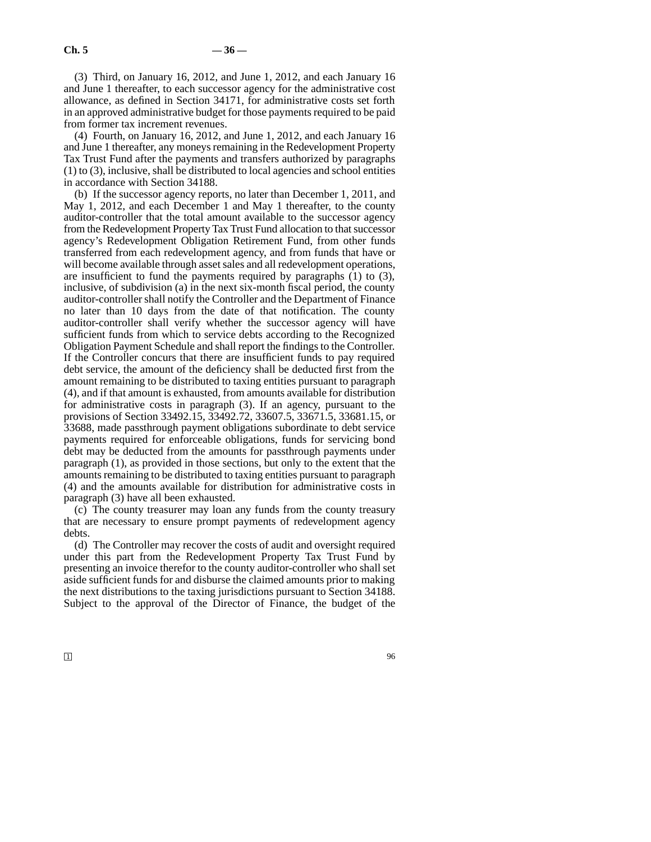(3) Third, on January 16, 2012, and June 1, 2012, and each January 16 and June 1 thereafter, to each successor agency for the administrative cost allowance, as defined in Section 34171, for administrative costs set forth in an approved administrative budget for those payments required to be paid from former tax increment revenues.

(4) Fourth, on January 16, 2012, and June 1, 2012, and each January 16 and June 1 thereafter, any moneys remaining in the Redevelopment Property Tax Trust Fund after the payments and transfers authorized by paragraphs (1) to (3), inclusive, shall be distributed to local agencies and school entities in accordance with Section 34188.

(b) If the successor agency reports, no later than December 1, 2011, and May 1, 2012, and each December 1 and May 1 thereafter, to the county auditor-controller that the total amount available to the successor agency from the Redevelopment Property Tax Trust Fund allocation to that successor agency's Redevelopment Obligation Retirement Fund, from other funds transferred from each redevelopment agency, and from funds that have or will become available through asset sales and all redevelopment operations, are insufficient to fund the payments required by paragraphs (1) to (3), inclusive, of subdivision (a) in the next six-month fiscal period, the county auditor-controller shall notify the Controller and the Department of Finance no later than 10 days from the date of that notification. The county auditor-controller shall verify whether the successor agency will have sufficient funds from which to service debts according to the Recognized Obligation Payment Schedule and shall report the findings to the Controller. If the Controller concurs that there are insufficient funds to pay required debt service, the amount of the deficiency shall be deducted first from the amount remaining to be distributed to taxing entities pursuant to paragraph (4), and if that amount is exhausted, from amounts available for distribution for administrative costs in paragraph (3). If an agency, pursuant to the provisions of Section 33492.15, 33492.72, 33607.5, 33671.5, 33681.15, or 33688, made passthrough payment obligations subordinate to debt service payments required for enforceable obligations, funds for servicing bond debt may be deducted from the amounts for passthrough payments under paragraph (1), as provided in those sections, but only to the extent that the amounts remaining to be distributed to taxing entities pursuant to paragraph (4) and the amounts available for distribution for administrative costs in paragraph (3) have all been exhausted.

(c) The county treasurer may loan any funds from the county treasury that are necessary to ensure prompt payments of redevelopment agency debts.

(d) The Controller may recover the costs of audit and oversight required under this part from the Redevelopment Property Tax Trust Fund by presenting an invoice therefor to the county auditor-controller who shall set aside sufficient funds for and disburse the claimed amounts prior to making the next distributions to the taxing jurisdictions pursuant to Section 34188. Subject to the approval of the Director of Finance, the budget of the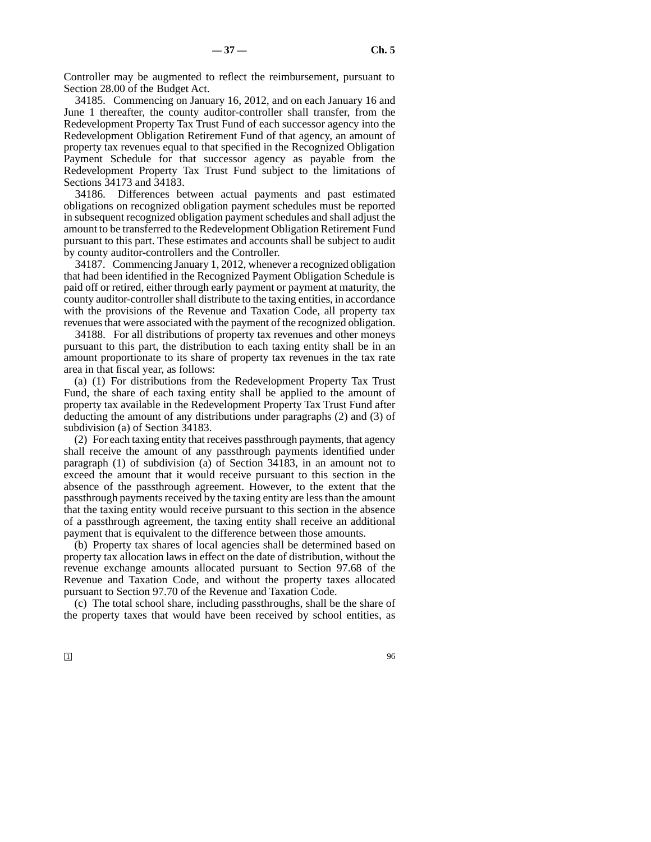Controller may be augmented to reflect the reimbursement, pursuant to Section 28.00 of the Budget Act.

34185. Commencing on January 16, 2012, and on each January 16 and June 1 thereafter, the county auditor-controller shall transfer, from the Redevelopment Property Tax Trust Fund of each successor agency into the Redevelopment Obligation Retirement Fund of that agency, an amount of property tax revenues equal to that specified in the Recognized Obligation Payment Schedule for that successor agency as payable from the Redevelopment Property Tax Trust Fund subject to the limitations of Sections 34173 and 34183.

34186. Differences between actual payments and past estimated obligations on recognized obligation payment schedules must be reported in subsequent recognized obligation payment schedules and shall adjust the amount to be transferred to the Redevelopment Obligation Retirement Fund pursuant to this part. These estimates and accounts shall be subject to audit by county auditor-controllers and the Controller.

34187. Commencing January 1, 2012, whenever a recognized obligation that had been identified in the Recognized Payment Obligation Schedule is paid off or retired, either through early payment or payment at maturity, the county auditor-controller shall distribute to the taxing entities, in accordance with the provisions of the Revenue and Taxation Code, all property tax revenues that were associated with the payment of the recognized obligation.

34188. For all distributions of property tax revenues and other moneys pursuant to this part, the distribution to each taxing entity shall be in an amount proportionate to its share of property tax revenues in the tax rate area in that fiscal year, as follows:

(a) (1) For distributions from the Redevelopment Property Tax Trust Fund, the share of each taxing entity shall be applied to the amount of property tax available in the Redevelopment Property Tax Trust Fund after deducting the amount of any distributions under paragraphs (2) and (3) of subdivision (a) of Section 34183.

(2) For each taxing entity that receives passthrough payments, that agency shall receive the amount of any passthrough payments identified under paragraph (1) of subdivision (a) of Section 34183, in an amount not to exceed the amount that it would receive pursuant to this section in the absence of the passthrough agreement. However, to the extent that the passthrough payments received by the taxing entity are less than the amount that the taxing entity would receive pursuant to this section in the absence of a passthrough agreement, the taxing entity shall receive an additional payment that is equivalent to the difference between those amounts.

(b) Property tax shares of local agencies shall be determined based on property tax allocation laws in effect on the date of distribution, without the revenue exchange amounts allocated pursuant to Section 97.68 of the Revenue and Taxation Code, and without the property taxes allocated pursuant to Section 97.70 of the Revenue and Taxation Code.

(c) The total school share, including passthroughs, shall be the share of the property taxes that would have been received by school entities, as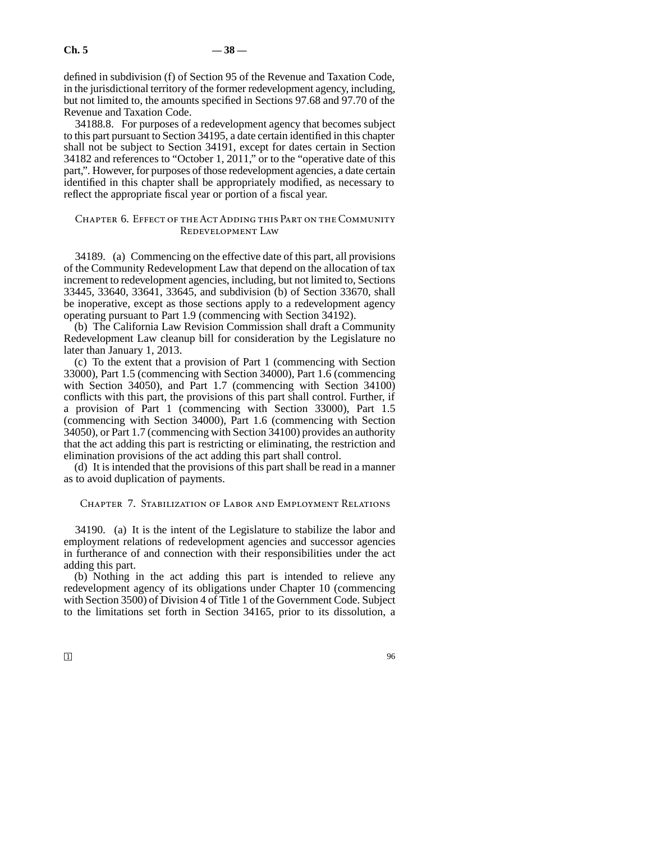defined in subdivision (f) of Section 95 of the Revenue and Taxation Code, in the jurisdictional territory of the former redevelopment agency, including, but not limited to, the amounts specified in Sections 97.68 and 97.70 of the Revenue and Taxation Code.

34188.8. For purposes of a redevelopment agency that becomes subject to this part pursuant to Section 34195, a date certain identified in this chapter shall not be subject to Section 34191, except for dates certain in Section 34182 and references to "October 1, 2011," or to the "operative date of this part,". However, for purposes of those redevelopment agencies, a date certain identified in this chapter shall be appropriately modified, as necessary to reflect the appropriate fiscal year or portion of a fiscal year.

# Chapter 6. Effect of the Act Adding this Part on the Community Redevelopment Law

34189. (a) Commencing on the effective date of this part, all provisions of the Community Redevelopment Law that depend on the allocation of tax increment to redevelopment agencies, including, but not limited to, Sections 33445, 33640, 33641, 33645, and subdivision (b) of Section 33670, shall be inoperative, except as those sections apply to a redevelopment agency operating pursuant to Part 1.9 (commencing with Section 34192).

(b) The California Law Revision Commission shall draft a Community Redevelopment Law cleanup bill for consideration by the Legislature no later than January 1, 2013.

(c) To the extent that a provision of Part 1 (commencing with Section 33000), Part 1.5 (commencing with Section 34000), Part 1.6 (commencing with Section 34050), and Part 1.7 (commencing with Section 34100) conflicts with this part, the provisions of this part shall control. Further, if a provision of Part 1 (commencing with Section 33000), Part 1.5 (commencing with Section 34000), Part 1.6 (commencing with Section 34050), or Part 1.7 (commencing with Section 34100) provides an authority that the act adding this part is restricting or eliminating, the restriction and elimination provisions of the act adding this part shall control.

(d) It is intended that the provisions of this part shall be read in a manner as to avoid duplication of payments.

# Chapter 7. Stabilization of Labor and Employment Relations

34190. (a) It is the intent of the Legislature to stabilize the labor and employment relations of redevelopment agencies and successor agencies in furtherance of and connection with their responsibilities under the act adding this part.

(b) Nothing in the act adding this part is intended to relieve any redevelopment agency of its obligations under Chapter 10 (commencing with Section 3500) of Division 4 of Title 1 of the Government Code. Subject to the limitations set forth in Section 34165, prior to its dissolution, a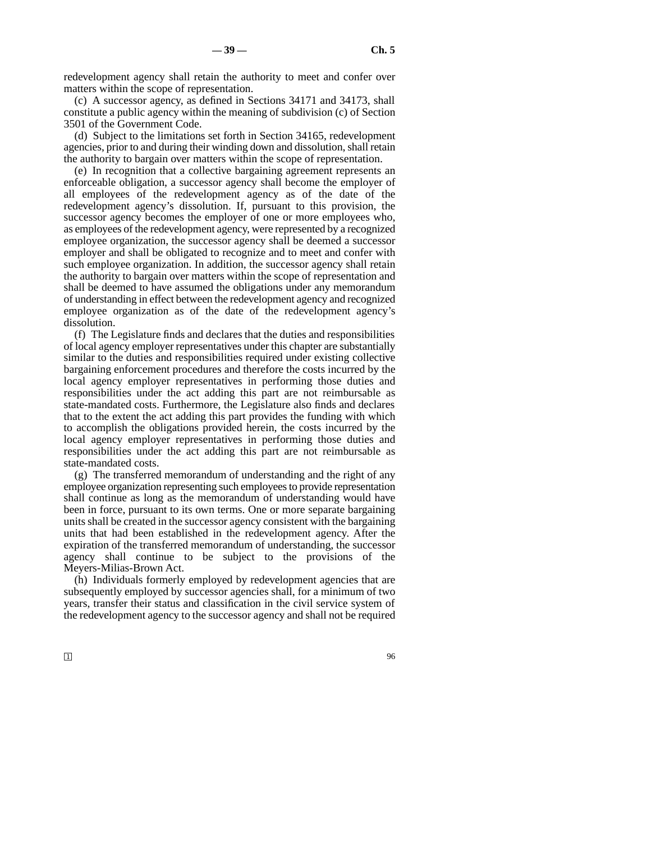redevelopment agency shall retain the authority to meet and confer over matters within the scope of representation.

(c) A successor agency, as defined in Sections 34171 and 34173, shall constitute a public agency within the meaning of subdivision (c) of Section 3501 of the Government Code.

(d) Subject to the limitations set forth in Section 34165, redevelopment agencies, prior to and during their winding down and dissolution, shall retain the authority to bargain over matters within the scope of representation.

(e) In recognition that a collective bargaining agreement represents an enforceable obligation, a successor agency shall become the employer of all employees of the redevelopment agency as of the date of the redevelopment agency's dissolution. If, pursuant to this provision, the successor agency becomes the employer of one or more employees who, as employees of the redevelopment agency, were represented by a recognized employee organization, the successor agency shall be deemed a successor employer and shall be obligated to recognize and to meet and confer with such employee organization. In addition, the successor agency shall retain the authority to bargain over matters within the scope of representation and shall be deemed to have assumed the obligations under any memorandum of understanding in effect between the redevelopment agency and recognized employee organization as of the date of the redevelopment agency's dissolution.

(f) The Legislature finds and declares that the duties and responsibilities of local agency employer representatives under this chapter are substantially similar to the duties and responsibilities required under existing collective bargaining enforcement procedures and therefore the costs incurred by the local agency employer representatives in performing those duties and responsibilities under the act adding this part are not reimbursable as state-mandated costs. Furthermore, the Legislature also finds and declares that to the extent the act adding this part provides the funding with which to accomplish the obligations provided herein, the costs incurred by the local agency employer representatives in performing those duties and responsibilities under the act adding this part are not reimbursable as state-mandated costs.

(g) The transferred memorandum of understanding and the right of any employee organization representing such employees to provide representation shall continue as long as the memorandum of understanding would have been in force, pursuant to its own terms. One or more separate bargaining units shall be created in the successor agency consistent with the bargaining units that had been established in the redevelopment agency. After the expiration of the transferred memorandum of understanding, the successor agency shall continue to be subject to the provisions of the Meyers-Milias-Brown Act.

(h) Individuals formerly employed by redevelopment agencies that are subsequently employed by successor agencies shall, for a minimum of two years, transfer their status and classification in the civil service system of the redevelopment agency to the successor agency and shall not be required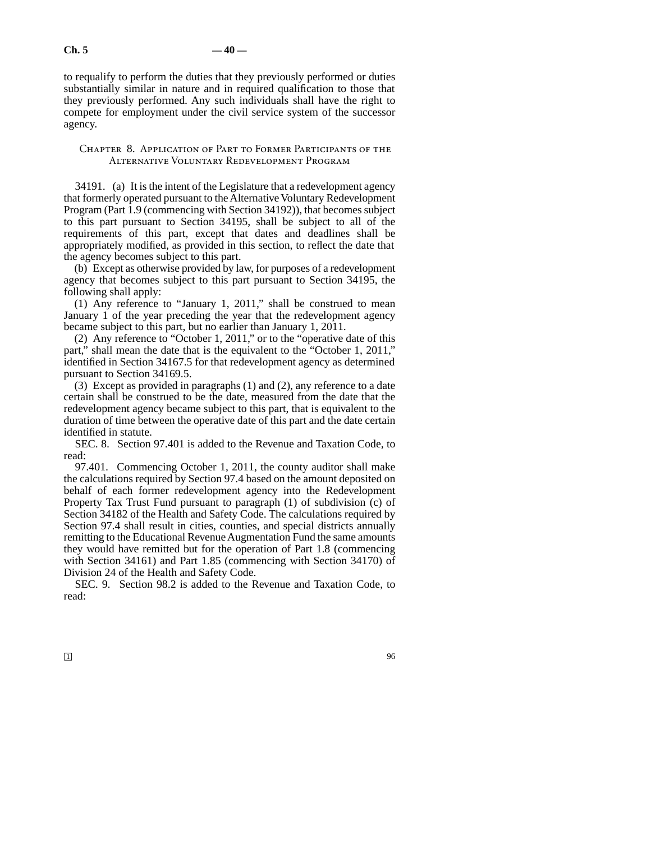to requalify to perform the duties that they previously performed or duties substantially similar in nature and in required qualification to those that they previously performed. Any such individuals shall have the right to compete for employment under the civil service system of the successor agency.

# Chapter 8. Application of Part to Former Participants of the Alternative Voluntary Redevelopment Program

34191. (a) It is the intent of the Legislature that a redevelopment agency that formerly operated pursuant to the Alternative Voluntary Redevelopment Program (Part 1.9 (commencing with Section 34192)), that becomes subject to this part pursuant to Section 34195, shall be subject to all of the requirements of this part, except that dates and deadlines shall be appropriately modified, as provided in this section, to reflect the date that the agency becomes subject to this part.

(b) Except as otherwise provided by law, for purposes of a redevelopment agency that becomes subject to this part pursuant to Section 34195, the following shall apply:

(1) Any reference to "January 1, 2011," shall be construed to mean January 1 of the year preceding the year that the redevelopment agency became subject to this part, but no earlier than January 1, 2011.

(2) Any reference to "October 1, 2011," or to the "operative date of this part," shall mean the date that is the equivalent to the "October 1, 2011," identified in Section 34167.5 for that redevelopment agency as determined pursuant to Section 34169.5.

(3) Except as provided in paragraphs (1) and (2), any reference to a date certain shall be construed to be the date, measured from the date that the redevelopment agency became subject to this part, that is equivalent to the duration of time between the operative date of this part and the date certain identified in statute.

SEC. 8. Section 97.401 is added to the Revenue and Taxation Code, to read:

97.401. Commencing October 1, 2011, the county auditor shall make the calculations required by Section 97.4 based on the amount deposited on behalf of each former redevelopment agency into the Redevelopment Property Tax Trust Fund pursuant to paragraph (1) of subdivision (c) of Section 34182 of the Health and Safety Code. The calculations required by Section 97.4 shall result in cities, counties, and special districts annually remitting to the Educational Revenue Augmentation Fund the same amounts they would have remitted but for the operation of Part 1.8 (commencing with Section 34161) and Part 1.85 (commencing with Section 34170) of Division 24 of the Health and Safety Code.

SEC. 9. Section 98.2 is added to the Revenue and Taxation Code, to read: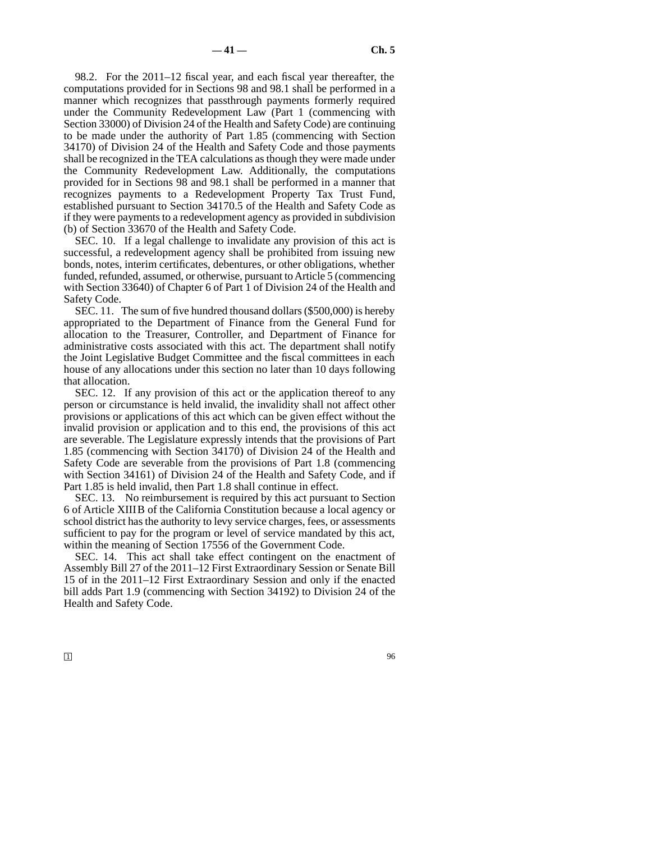98.2. For the 2011–12 fiscal year, and each fiscal year thereafter, the computations provided for in Sections 98 and 98.1 shall be performed in a manner which recognizes that passthrough payments formerly required under the Community Redevelopment Law (Part 1 (commencing with Section 33000) of Division 24 of the Health and Safety Code) are continuing to be made under the authority of Part 1.85 (commencing with Section 34170) of Division 24 of the Health and Safety Code and those payments shall be recognized in the TEA calculations as though they were made under the Community Redevelopment Law. Additionally, the computations provided for in Sections 98 and 98.1 shall be performed in a manner that recognizes payments to a Redevelopment Property Tax Trust Fund, established pursuant to Section 34170.5 of the Health and Safety Code as if they were payments to a redevelopment agency as provided in subdivision (b) of Section 33670 of the Health and Safety Code.

SEC. 10. If a legal challenge to invalidate any provision of this act is successful, a redevelopment agency shall be prohibited from issuing new bonds, notes, interim certificates, debentures, or other obligations, whether funded, refunded, assumed, or otherwise, pursuant to Article 5 (commencing with Section 33640) of Chapter 6 of Part 1 of Division 24 of the Health and Safety Code.

SEC. 11. The sum of five hundred thousand dollars (\$500,000) is hereby appropriated to the Department of Finance from the General Fund for allocation to the Treasurer, Controller, and Department of Finance for administrative costs associated with this act. The department shall notify the Joint Legislative Budget Committee and the fiscal committees in each house of any allocations under this section no later than 10 days following that allocation.

SEC. 12. If any provision of this act or the application thereof to any person or circumstance is held invalid, the invalidity shall not affect other provisions or applications of this act which can be given effect without the invalid provision or application and to this end, the provisions of this act are severable. The Legislature expressly intends that the provisions of Part 1.85 (commencing with Section 34170) of Division 24 of the Health and Safety Code are severable from the provisions of Part 1.8 (commencing with Section 34161) of Division 24 of the Health and Safety Code, and if Part 1.85 is held invalid, then Part 1.8 shall continue in effect.

SEC. 13. No reimbursement is required by this act pursuant to Section 6 of Article XIIIB of the California Constitution because a local agency or school district has the authority to levy service charges, fees, or assessments sufficient to pay for the program or level of service mandated by this act, within the meaning of Section 17556 of the Government Code.

SEC. 14. This act shall take effect contingent on the enactment of Assembly Bill 27 of the 2011–12 First Extraordinary Session or Senate Bill 15 of in the 2011–12 First Extraordinary Session and only if the enacted bill adds Part 1.9 (commencing with Section 34192) to Division 24 of the Health and Safety Code.